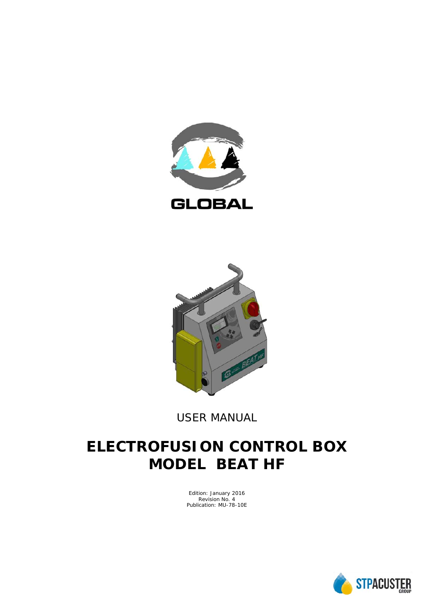



*USER MANUAL*

# **ELECTROFUSION CONTROL BOX MODEL BEAT HF**

Edition: January 2016 Revision No. 4 Publication: MU-78-10E

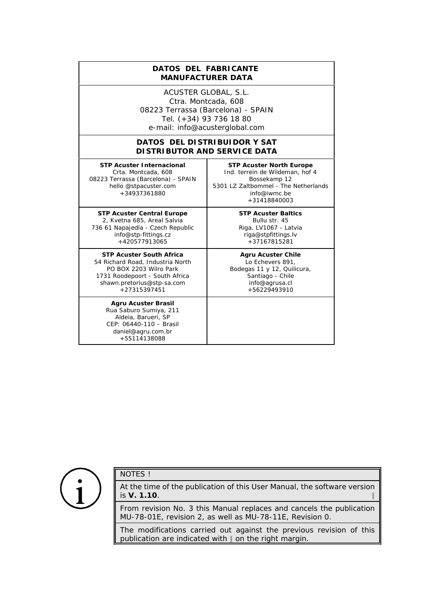#### **DATOS DEL FABRICANTE**  *MANUFACTURER DATA*

ACUSTER GLOBAL, S.L. Ctra. Montcada, 608 08223 Terrassa (Barcelona) - SPAIN Tel. (+34) 93 736 18 80 e-mail: info@acusterglobal.com

#### **DATOS DEL DISTRIBUIDOR Y SAT** *DISTRIBUTOR AND SERVICE DATA*

**STP Acuster Internacional** Crta. Montcada, 608 08223 Terrassa (Barcelona) - SPAIN hello @stpacuster.com +34937361880

**STP Acuster Central Europe** 2, Kvetna 685, Areal Salvia 736 61 Napajedla - Czech Republic info@stp-fittings.cz +420577913065

**STP Acuster South Africa** 54 Richard Road, Industria North PO BOX 2203 Wilro Park 1731 Roodepoort - South Africa shawn.pretorius@stp-sa.com +27315397451

**Agru Acuster Brasil** Rua Saburo Sumiya, 211 Aldeia, Barueri, SP CEP: 06440-110 – Brasil daniel@agru.com.br +55114138088

**STP Acuster North Europe** Ind. terrein de Wildeman, hof 4 Bossekamp 12 5301 LZ Zaltbommel - The Netherlands info@iwmc.be +31418840003

> **STP Acuster Baltics** Bullu str. 45 Riga, LV1067 - Latvia riga@stpfittings.lv +37167815281

**Agru Acuster Chile** Lo Echevers 891, Bodegas 11 y 12, Quilicura, Santiago - Chile info@agrusa.cl +56229493910



# NOTES !

At the time of the publication of this *User Manual*, the software version is **V. 1.10**. 2

From revision No. 3 this *Manual* replaces and cancels the publication MU-78-01E, revision 2, as well as MU-78-11E, Revision 0.

The modifications carried out against the previous revision of this publication are indicated with  $\parallel$  on the right margin.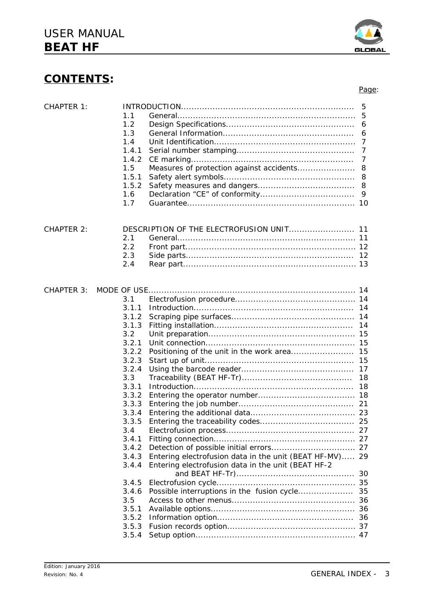| <b>CHAPTER 1:</b> | 1.1<br>1.2<br>1.3<br>1.4<br>1.4.1 |                                                         | 5<br>5<br>6<br>6<br>7<br>7 |
|-------------------|-----------------------------------|---------------------------------------------------------|----------------------------|
|                   | 1.4.2                             |                                                         | 7                          |
|                   | 1.5                               | Measures of protection against accidents                | 8                          |
|                   | 1.5.1                             |                                                         | 8                          |
|                   | 1.5.2                             |                                                         |                            |
|                   | 1.6<br>1.7                        |                                                         | 9                          |
|                   |                                   |                                                         |                            |
| <b>CHAPTER 2:</b> |                                   | DESCRIPTION OF THE ELECTROFUSION UNIT 11                |                            |
|                   | 2.1                               |                                                         |                            |
|                   | 2.2                               |                                                         |                            |
|                   | 2.3                               |                                                         |                            |
|                   | 2.4                               |                                                         |                            |
|                   |                                   |                                                         |                            |
| <b>CHAPTER 3:</b> |                                   |                                                         |                            |
|                   | 3.1                               |                                                         |                            |
|                   | 3.1.1                             |                                                         | -14                        |
|                   | 3.1.2                             |                                                         |                            |
|                   | 3.1.3                             |                                                         | 14                         |
|                   | 3.2                               |                                                         |                            |
|                   | 3.2.1                             |                                                         |                            |
|                   | 3.2.2                             |                                                         | 15                         |
|                   | 3.2.3                             |                                                         |                            |
|                   | 3.2.4                             |                                                         |                            |
|                   | 3.3                               |                                                         | 18                         |
|                   | 3.3.1                             |                                                         |                            |
|                   | 3.3.2                             |                                                         |                            |
|                   | 3.3.3                             |                                                         |                            |
|                   | 3.3.4                             |                                                         |                            |
|                   | 3.3.5                             |                                                         | 25                         |
|                   | 3.4                               |                                                         |                            |
|                   | 3.4.1                             |                                                         |                            |
|                   | 3.4.2                             |                                                         |                            |
|                   | 3.4.3                             | Entering electrofusion data in the unit (BEAT HF-MV) 29 |                            |
|                   | 3.4.4                             | Entering electrofusion data in the unit (BEAT HF-2      |                            |
|                   |                                   |                                                         | 30                         |
|                   | 3.4.5                             |                                                         |                            |
|                   | 3.4.6                             |                                                         | 35                         |
|                   | 3.5                               |                                                         |                            |
|                   | 3.5.1                             |                                                         |                            |
|                   | 3.5.2                             |                                                         |                            |

3.5.3 Fusion records option................................................. 37 3.5.4 Setup option............................................................. 47



Page: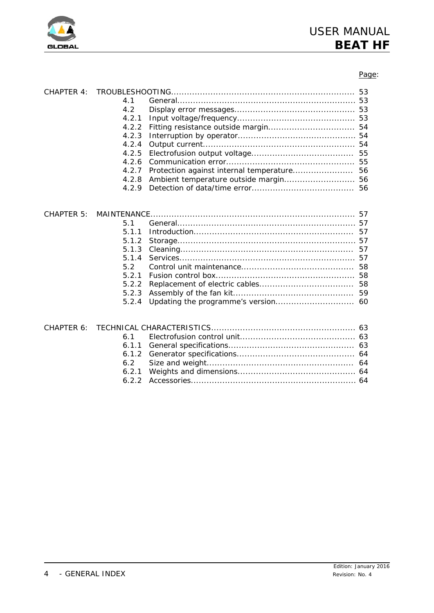

# Page:

| 4.1   |                |    |
|-------|----------------|----|
| 4.2   |                |    |
|       |                |    |
| 4.2.2 |                |    |
|       |                |    |
| 4.2.4 |                |    |
|       |                |    |
| 4.2.6 |                |    |
| 4.2.7 |                |    |
|       |                |    |
| 4.2.9 |                |    |
|       |                |    |
|       |                |    |
| 5.1   |                |    |
|       |                |    |
| 511   |                |    |
| 5.1.2 |                |    |
|       | 5.1.3 Cleaning | 57 |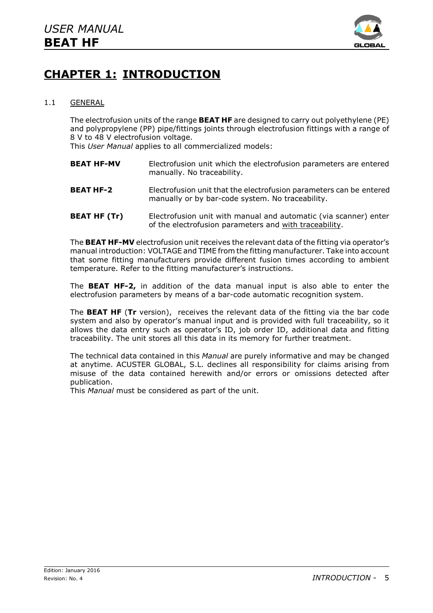

# **CHAPTER 1: INTRODUCTION**

# 1.1 GENERAL

The electrofusion units of the range **BEAT HF** are designed to carry out polyethylene (PE) and polypropylene (PP) pipe/fittings joints through electrofusion fittings with a range of 8 V to 48 V electrofusion voltage.

This *User Manual* applies to all commercialized models:

- **BEAT HF-MV** Electrofusion unit which the electrofusion parameters are entered manually. No traceability.
- **BEAT HF-2** Electrofusion unit that the electrofusion parameters can be entered manually or by bar-code system. No traceability.
- **BEAT HF (Tr)** Electrofusion unit with manual and automatic (via scanner) enter of the electrofusion parameters and with traceability.

The **BEAT HF-MV** electrofusion unit receives the relevant data of the fitting via operator's manual introduction: VOLTAGE and TIME from the fitting manufacturer. Take into account that some fitting manufacturers provide different fusion times according to ambient temperature. Refer to the fitting manufacturer's instructions.

The **BEAT HF-2,** in addition of the data manual input is also able to enter the electrofusion parameters by means of a bar-code automatic recognition system.

The **BEAT HF** (**Tr** version), receives the relevant data of the fitting via the bar code system and also by operator's manual input and is provided with full traceability, so it allows the data entry such as operator's ID, job order ID, additional data and fitting traceability. The unit stores all this data in its memory for further treatment.

The technical data contained in this *Manual* are purely informative and may be changed at anytime. ACUSTER GLOBAL, S.L. declines all responsibility for claims arising from misuse of the data contained herewith and/or errors or omissions detected after publication.

This *Manual* must be considered as part of the unit.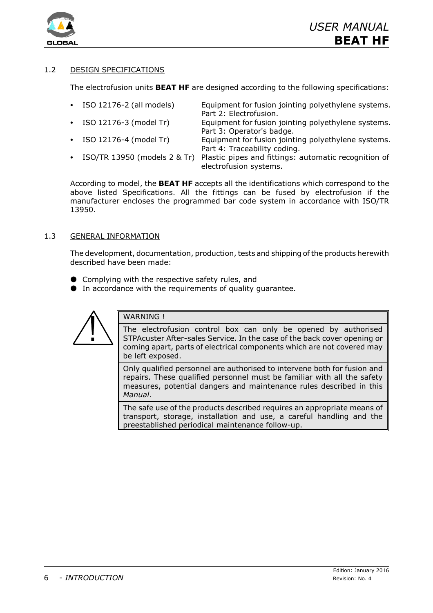

# 1.2 DESIGN SPECIFICATIONS

The electrofusion units **BEAT HF** are designed according to the following specifications:

- ISO 12176-2 (all models) Equipment for fusion jointing polyethylene systems. Part 2: Electrofusion.
- ISO 12176-3 (model Tr) Equipment for fusion jointing polyethylene systems. Part 3: Operator's badge.
- 
- 
- ISO 12176-4 (model Tr) Equipment for fusion jointing polyethylene systems. Part 4: Traceability coding.
- ISO/TR 13950 (models 2 & Tr) Plastic pipes and fittings: automatic recognition of electrofusion systems.

According to model, the **BEAT HF** accepts all the identifications which correspond to the above listed Specifications. All the fittings can be fused by electrofusion if the manufacturer encloses the programmed bar code system in accordance with ISO/TR 13950.

# 1.3 GENERAL INFORMATION

The development, documentation, production, tests and shipping of the products herewith described have been made:

- $\bullet$  Complying with the respective safety rules, and
- $\bullet$  In accordance with the requirements of quality quarantee.



# WARNING !

The electrofusion control box can only be opened by authorised STPAcuster After-sales Service. In the case of the back cover opening or coming apart, parts of electrical components which are not covered may be left exposed.

Only qualified personnel are authorised to intervene both for fusion and repairs. These qualified personnel must be familiar with all the safety measures, potential dangers and maintenance rules described in this *Manual*.

The safe use of the products described requires an appropriate means of transport, storage, installation and use, a careful handling and the preestablished periodical maintenance follow-up.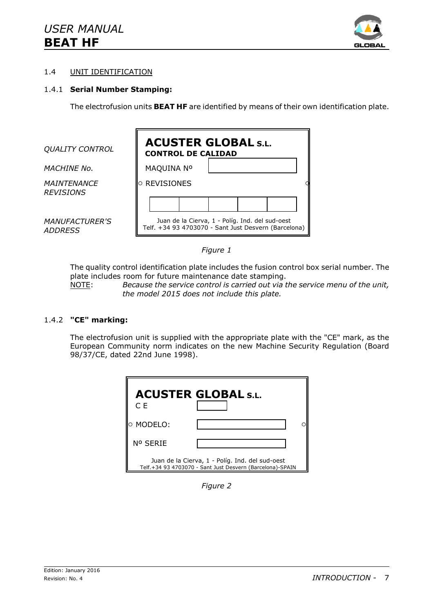

# 1.4 UNIT IDENTIFICATION

### 1.4.1 **Serial Number Stamping:**

The electrofusion units **BEAT HF** are identified by means of their own identification plate.

| <b>QUALITY CONTROL</b>                  | <b>ACUSTER GLOBAL S.L.</b><br><b>CONTROL DE CALIDAD</b>                                                 |  |  |
|-----------------------------------------|---------------------------------------------------------------------------------------------------------|--|--|
| <i>MACHINE No.</i>                      | MAQUINA Nº                                                                                              |  |  |
| <b>MAINTENANCE</b><br><b>REVISIONS</b>  | $\circ$ REVISIONES                                                                                      |  |  |
|                                         |                                                                                                         |  |  |
| <i>MANUFACTURER'S</i><br><i>ADDRESS</i> | Juan de la Cierva, 1 - Políg. Ind. del sud-oest<br>Telf. +34 93 4703070 - Sant Just Desvern (Barcelona) |  |  |

### *Figure 1*

The quality control identification plate includes the fusion control box serial number. The plate includes room for future maintenance date stamping.

NOTE: *Because the service control is carried out via the service menu of the unit, the model 2015 does not include this plate.*

#### 1.4.2 **"CE" marking:**

The electrofusion unit is supplied with the appropriate plate with the "CE" mark, as the European Community norm indicates on the new Machine Security Regulation (Board 98/37/CE, dated 22nd June 1998).

| C E        | <b>ACUSTER GLOBAL S.L.</b>                                                                                   |
|------------|--------------------------------------------------------------------------------------------------------------|
| lo MODELO: |                                                                                                              |
| Nº SERIE   |                                                                                                              |
|            | Juan de la Cierva, 1 - Políg. Ind. del sud-oest<br>Telf.+34 93 4703070 - Sant Just Desvern (Barcelona)-SPAIN |

*Figure 2*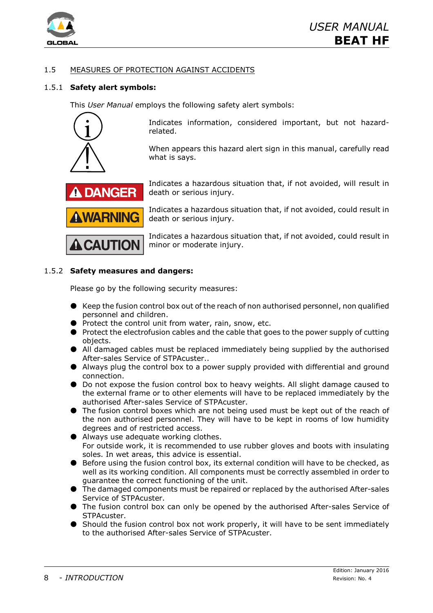

# 1.5 MEASURES OF PROTECTION AGAINST ACCIDENTS

# 1.5.1 **Safety alert symbols:**

This *User Manual* employs the following safety alert symbols:



Indicates information, considered important, but not hazardrelated.

When appears this hazard alert sign in this manual, carefully read what is says.



**A CAUTION** 

Indicates a hazardous situation that, if not avoided, will result in death or serious injury.

Indicates a hazardous situation that, if not avoided, could result in death or serious injury.

Indicates a hazardous situation that, if not avoided, could result in minor or moderate injury.

# 1.5.2 **Safety measures and dangers:**

Please go by the following security measures:

- $\bullet$  Keep the fusion control box out of the reach of non authorised personnel, non qualified personnel and children.
- $\bullet$  Protect the control unit from water, rain, snow, etc.
- $\bullet$  Protect the electrofusion cables and the cable that goes to the power supply of cutting objects.
- $\bullet$  All damaged cables must be replaced immediately being supplied by the authorised After-sales Service of STPAcuster..
- $\bullet$  Always plug the control box to a power supply provided with differential and ground connection.
- $\bullet$  Do not expose the fusion control box to heavy weights. All slight damage caused to the external frame or to other elements will have to be replaced immediately by the authorised After-sales Service of STPAcuster.
- $\bullet$  The fusion control boxes which are not being used must be kept out of the reach of the non authorised personnel. They will have to be kept in rooms of low humidity degrees and of restricted access.
- $\bullet$  Always use adequate working clothes. For outside work, it is recommended to use rubber gloves and boots with insulating soles. In wet areas, this advice is essential.
- Before using the fusion control box, its external condition will have to be checked, as well as its working condition. All components must be correctly assembled in order to guarantee the correct functioning of the unit.
- $\bullet$  The damaged components must be repaired or replaced by the authorised After-sales Service of STPAcuster.
- $\bullet$  The fusion control box can only be opened by the authorised After-sales Service of **STPAcuster**
- $\bullet$  Should the fusion control box not work properly, it will have to be sent immediately to the authorised After-sales Service of STPAcuster.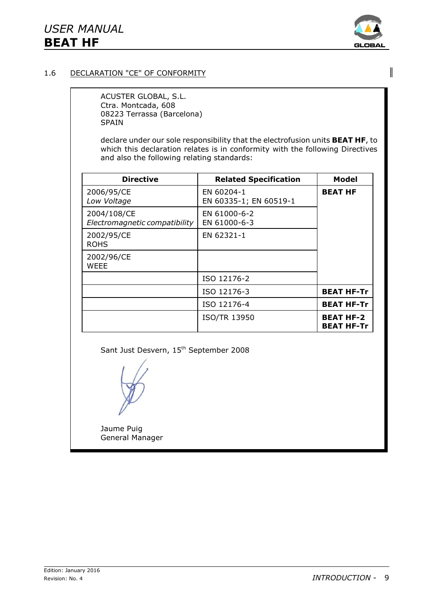

 $\overline{\phantom{a}}$ 

# 1.6 DECLARATION "CE" OF CONFORMITY

ACUSTER GLOBAL, S.L. Ctra. Montcada, 608 08223 Terrassa (Barcelona) SPAIN

declare under our sole responsibility that the electrofusion units **BEAT HF**, to which this declaration relates is in conformity with the following Directives and also the following relating standards:

| <b>Directive</b>                             | <b>Related Specification</b>         | Model                                 |
|----------------------------------------------|--------------------------------------|---------------------------------------|
| 2006/95/CE<br>Low Voltage                    | EN 60204-1<br>EN 60335-1; EN 60519-1 | <b>BEAT HF</b>                        |
| 2004/108/CE<br>Electromagnetic compatibility | EN 61000-6-2<br>EN 61000-6-3         |                                       |
| 2002/95/CE<br><b>ROHS</b>                    | EN 62321-1                           |                                       |
| 2002/96/CE<br>WFFF                           |                                      |                                       |
|                                              | ISO 12176-2                          |                                       |
|                                              | ISO 12176-3                          | <b>BEAT HF-Tr</b>                     |
|                                              | ISO 12176-4                          | <b>BEAT HF-Tr</b>                     |
|                                              | <b>ISO/TR 13950</b>                  | <b>BEAT HF-2</b><br><b>BEAT HF-Tr</b> |

Sant Just Desvern, 15<sup>th</sup> September 2008

Jaume Puig General Manager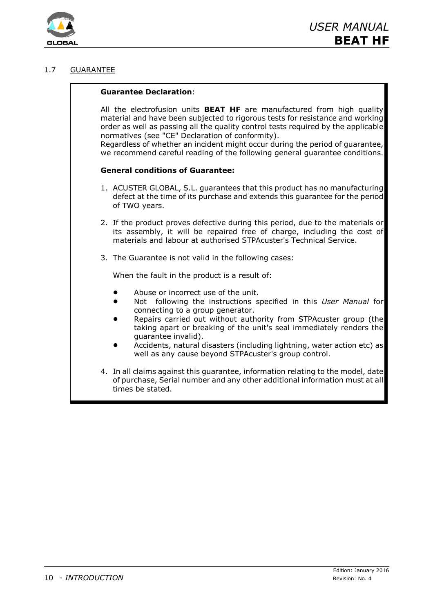

# 1.7 GUARANTEE

#### **Guarantee Declaration**:

All the electrofusion units **BEAT HF** are manufactured from high quality material and have been subjected to rigorous tests for resistance and working order as well as passing all the quality control tests required by the applicable normatives (see "CE" Declaration of conformity).

Regardless of whether an incident might occur during the period of guarantee, we recommend careful reading of the following general guarantee conditions.

#### **General conditions of Guarantee:**

- 1. ACUSTER GLOBAL, S.L. guarantees that this product has no manufacturing defect at the time of its purchase and extends this guarantee for the period of TWO years.
- 2. If the product proves defective during this period, due to the materials or its assembly, it will be repaired free of charge, including the cost of materials and labour at authorised STPAcuster's Technical Service.
- 3. The Guarantee is not valid in the following cases:

When the fault in the product is a result of:

- Abuse or incorrect use of the unit.
- ! Not following the instructions specified in this *User Manual* for connecting to a group generator.
- Repairs carried out without authority from STPAcuster group (the taking apart or breaking of the unit's seal immediately renders the guarantee invalid).
- Accidents, natural disasters (including lightning, water action etc) as well as any cause beyond STPAcuster's group control.
- 4. In all claims against this guarantee, information relating to the model, date of purchase, Serial number and any other additional information must at all times be stated.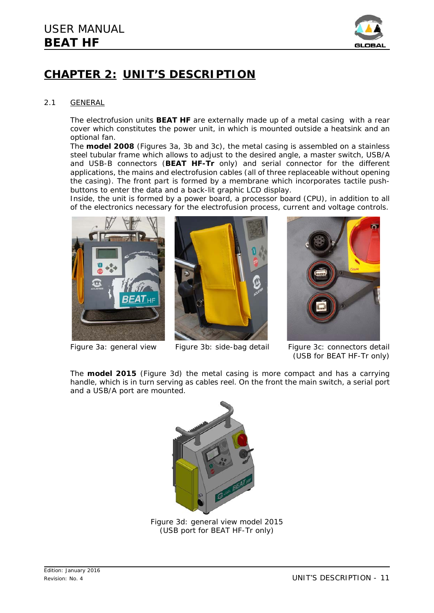

# **CHAPTER 2: UNIT'S DESCRIPTION**

#### 2.1 GENERAL

The electrofusion units **BEAT HF** are externally made up of a metal casing with a rear cover which constitutes the power unit, in which is mounted outside a heatsink and an optional fan.

The **model 2008** (*Figures 3a, 3b and 3c*), the metal casing is assembled on a stainless steel tubular frame which allows to adjust to the desired angle, a master switch, USB/A and USB-B connectors (**BEAT HF-Tr** only) and serial connector for the different applications, the mains and electrofusion cables (all of three replaceable without opening the casing). The front part is formed by a membrane which incorporates tactile pushbuttons to enter the data and a back-lit graphic LCD display.

Inside, the unit is formed by a power board, a processor board (CPU), in addition to all of the electronics necessary for the electrofusion process, current and voltage controls.







*Figure 3a: general view Figure 3b: side-bag detail Figure 3c: connectors detail* (*USB for BEAT HF-Tr only*)

The **model 2015** (*Figure 3d*) the metal casing is more compact and has a carrying handle, which is in turn serving as cables reel. On the front the main switch, a serial port and a USB/A port are mounted.



*Figure 3d: general view model 2015 (USB port for BEAT HF-Tr only)*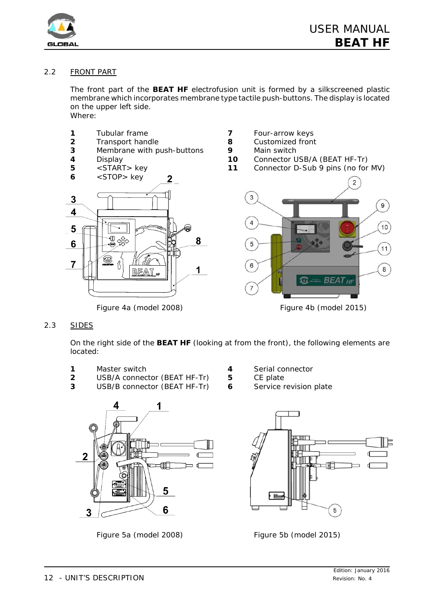

# 2.2 FRONT PART

The front part of the **BEAT HF** electrofusion unit is formed by a silkscreened plastic membrane which incorporates membrane type tactile push-buttons. The display is located on the upper left side. Where:

- **1** Tubular frame **7** Four-arrow keys
- 
- **3** Membrane with push-buttons **9** Main switch
- 
- 





- 
- **2** Transport handle **8** Customized front
	-
- **4** Display **10** Connector USB/A (BEAT HF-Tr)
- **5** <START> key **11** Connector D-Sub 9 pins (no for MV)



2.3 SIDES

On the right side of the **BEAT HF** (looking at from the front), the following elements are located:

- **1** Master switch **4** Serial connector
- **2** USB/A connector (BEAT HF-Tr) **5** CE plate
- **3** USB/B connector (BEAT HF-Tr) **6** Service revision plate



*Figure 5a (model 2008) Figure 5b (model 2015)*

- 
- 
- 

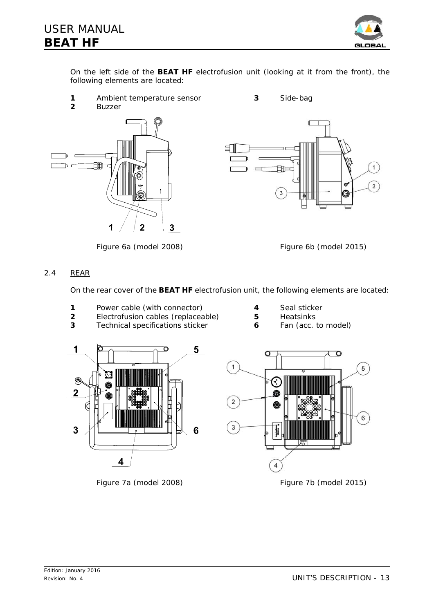

On the left side of the **BEAT HF** electrofusion unit (looking at it from the front), the following elements are located:

- **1** Ambient temperature sensor **3** Side-bag
- **2** Buzzer







# 2.4 REAR

On the rear cover of the **BEAT HF** electrofusion unit, the following elements are located:

- **1** Power cable (with connector) **4** Seal sticker
- **2** Electrofusion cables (replaceable) **5** Heatsinks
- **3** Technical specifications sticker **6** Fan (acc. to model)
- 
- -





*Figure 7a (model 2008) Figure 7b (model 2015)*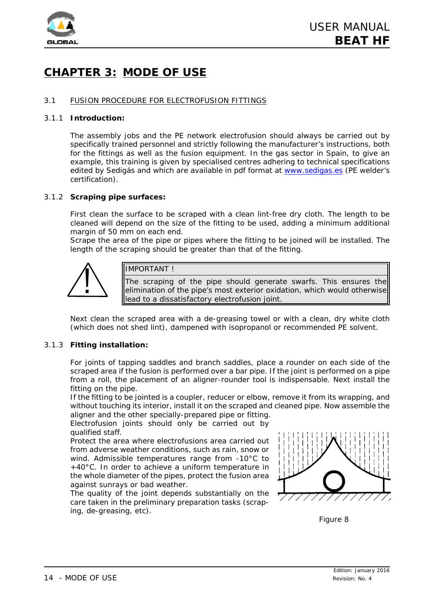

# **CHAPTER 3: MODE OF USE**

### 3.1 FUSION PROCEDURE FOR ELECTROFUSION FITTINGS

#### 3.1.1 **Introduction:**

The assembly jobs and the PE network electrofusion should always be carried out by specifically trained personnel and strictly following the manufacturer's instructions, both for the fittings as well as the fusion equipment. In the gas sector in Spain, to give an example, this training is given by specialised centres adhering to technical specifications edited by Sedigás and which are available in pdf format at www.sedigas.es (PE welder's certification).

### 3.1.2 **Scraping pipe surfaces:**

First clean the surface to be scraped with a clean lint-free dry cloth. The length to be cleaned will depend on the size of the fitting to be used, adding a minimum additional margin of 50 mm on each end.

Scrape the area of the pipe or pipes where the fitting to be joined will be installed. The length of the scraping should be greater than that of the fitting.



# IMPORTANT !

The scraping of the pipe should generate swarfs. This ensures the elimination of the pipe's most exterior oxidation, which would otherwise lead to a dissatisfactory electrofusion joint.

Next clean the scraped area with a de-greasing towel or with a clean, dry white cloth (which does not shed lint), dampened with isopropanol or recommended PE solvent.

#### 3.1.3 **Fitting installation:**

For joints of *tapping saddles* and *branch saddles*, place a rounder on each side of the scraped area if the fusion is performed over a bar pipe. If the joint is performed on a pipe from a roll, the placement of an aligner-rounder tool is indispensable. Next install the fitting on the pipe.

If the fitting to be jointed is a *coupler*, *reducer* or *elbow*, remove it from its wrapping, and without touching its interior, install it on the scraped and cleaned pipe. Now assemble the aligner and the other specially-prepared pipe or fitting.

Electrofusion joints should only be carried out by qualified staff.

Protect the area where electrofusions area carried out from adverse weather conditions, such as rain, snow or wind. Admissible temperatures range from -10°C to +40°C. In order to achieve a uniform temperature in the whole diameter of the pipes, protect the fusion area against sunrays or bad weather.

The quality of the joint depends substantially on the care taken in the preliminary preparation tasks (scraping, de-greasing, etc).



*Figure 8*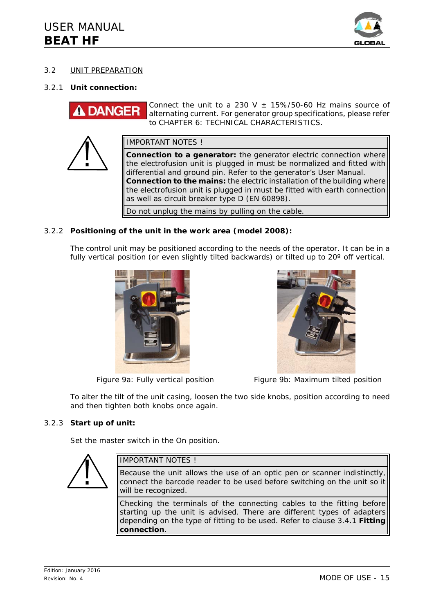

# 3.2 UNIT PREPARATION

### 3.2.1 **Unit connection:**

Connect the unit to a 230 V  $\pm$  15%/50-60 Hz mains source of **DANGER** alternating current. For generator group specifications, please refer to *CHAPTER 6: TECHNICAL CHARACTERISTICS*.



IMPORTANT NOTES !

**Connection to a generator:** the generator electric connection where the electrofusion unit is plugged in must be normalized and fitted with differential and ground pin. Refer to the generator's User Manual. **Connection to the mains:** the electric installation of the building where the electrofusion unit is plugged in must be fitted with earth connection as well as circuit breaker type D (EN 60898).

Do not unplug the mains by pulling on the cable.

### 3.2.2 **Positioning of the unit in the work area (model 2008):**

The control unit may be positioned according to the needs of the operator. It can be in a fully vertical position (or even slightly tilted backwards) or tilted up to 20° off vertical.





*Figure 9a: Fully vertical position Figure 9b: Maximum tilted position*

To alter the tilt of the unit casing, loosen the two side knobs, position according to need and then tighten both knobs once again.

# 3.2.3 **Start up of unit:**

Set the master switch in the On position.

# IMPORTANT NOTES !

Because the unit allows the use of an optic pen or scanner indistinctly, connect the barcode reader to be used before switching on the unit so it will be recognized. Checking the terminals of the connecting cables to the fitting before

starting up the unit is advised. There are different types of adapters depending on the type of fitting to be used. Refer to clause 3.4.1 **Fitting connection**.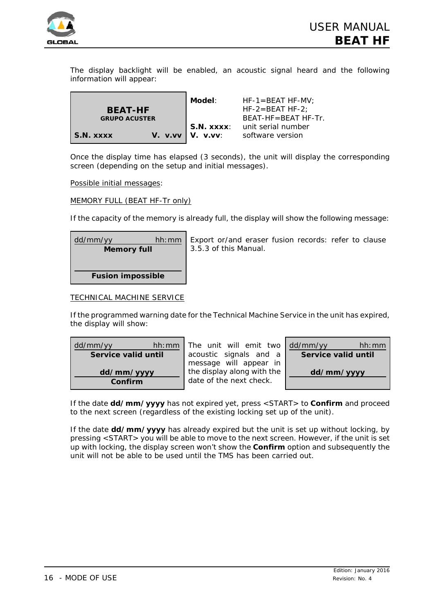

The display backlight will be enabled, an acoustic signal heard and the following information will appear:

|                      | Model:                  | $HF-1 = BEAT HF-MV:$     |
|----------------------|-------------------------|--------------------------|
| <b>BEAT-HF</b>       |                         | $HF-2=BEAT HF-2$ :       |
| <b>GRUPO ACUSTER</b> |                         | $BFAT-HF = BFAT HF - Tr$ |
|                      | I S.N. xxxx:            | unit serial number       |
| <b>S.N. XXXX</b>     | $V.$ v.vv $V.$ V. v.vv: | software version         |

Once the display time has elapsed (3 seconds), the unit will display the corresponding screen (depending on the setup and initial messages).

*Possible initial messages:*

MEMORY FULL (BEAT HF-Tr only)

If the capacity of the memory is already full, the display will show the following message:

| dd/mm/yy<br><b>Memory full</b> | hh:mm | Export or/and eraser fusion records: refer to clause<br>3.5.3 of this <i>Manual</i> . |
|--------------------------------|-------|---------------------------------------------------------------------------------------|
|                                |       |                                                                                       |
| <b>Fusion impossible</b>       |       |                                                                                       |

### TECHNICAL MACHINE SERVICE

If the programmed warning date for the Technical Machine Service in the unit has expired, the display will show:

| dd/mm/yy              | The unit will emit two                                | dd/mm/yy            |
|-----------------------|-------------------------------------------------------|---------------------|
| hh:mm                 | acoustic signals and a                                | hh:mm               |
| Service valid until   | message will appear in                                | Service valid until |
| dd/mm/yyyy<br>Confirm | the display along with the<br>date of the next check. | dd/mm/yyyy          |

If the date **dd/mm/yyyy** has not expired yet, press <START> to **Confirm** and proceed to the next screen (regardless of the existing locking set up of the unit).

If the date **dd/mm/yyyy** has already expired but the unit is set up without locking, by pressing <START> you will be able to move to the next screen. However, if the unit is set up with locking, the display screen won't show the **Confirm** option and subsequently the unit will not be able to be used until the TMS has been carried out.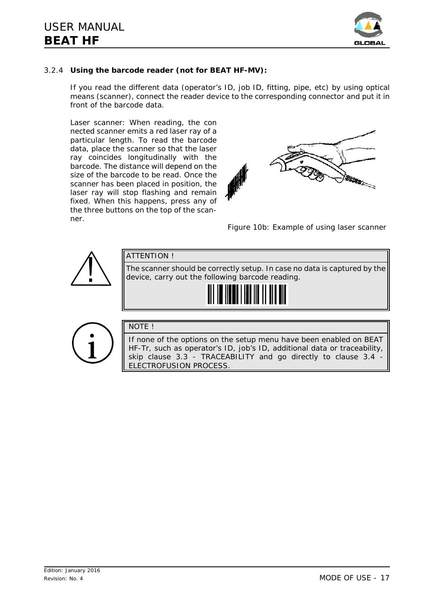

# 3.2.4 **Using the barcode reader (not for BEAT HF-MV):**

If you read the different data (operator's ID, job ID, fitting, pipe, etc) by using optical means (scanner), connect the reader device to the corresponding connector and put it in front of the barcode data.

*Laser scanner:* When reading, the con nected scanner emits a red laser ray of a particular length. To read the barcode data, place the scanner so that the laser ray coincides longitudinally with the barcode. The distance will depend on the size of the barcode to be read. Once the scanner has been placed in position, the laser ray will stop flashing and remain fixed. When this happens, press any of the three buttons on the top of the scanner.



*Figure 10b: Example of using laser scanner*



ELECTROFUSION PROCESS.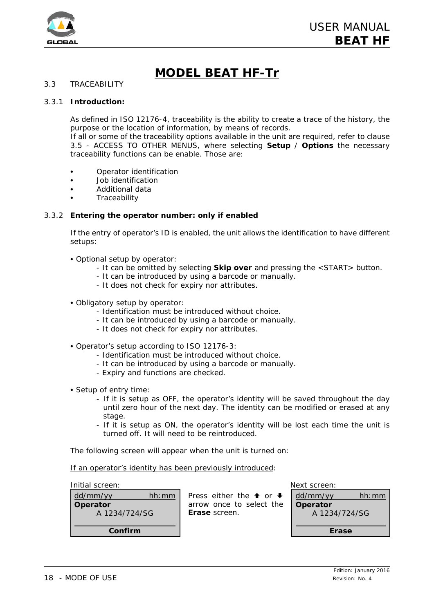

# **MODEL BEAT HF-Tr**

# 3.3 TRACEABILITY

#### 3.3.1 **Introduction:**

As defined in ISO 12176-4, traceability is the ability to create a trace of the history, the purpose or the location of information, by means of records.

If all or some of the traceability options available in the unit are required, refer to clause 3.5 - ACCESS TO OTHER MENUS, where selecting **Setup** / **Options** the necessary traceability functions can be enable. Those are:

- **Operator identification**
- Job identification
- C Additional data
- **Traceability**

#### 3.3.2 **Entering the operator number: only if enabled**

If the entry of operator's ID is enabled, the unit allows the identification to have different setups:

- C *Optional setup by operator*:
	- It can be omitted by selecting **Skip over** and pressing the <START> button.
	- It can be introduced by using a barcode or manually.
	- It does not check for expiry nor attributes.
- C *Obligatory setup by operator*:
	- Identification must be introduced without choice.
	- It can be introduced by using a barcode or manually.
	- It does not check for expiry nor attributes.
- C *Operator's setup according to ISO 12176-3*:
	- Identification must be introduced without choice.
	- It can be introduced by using a barcode or manually.
	- Expiry and functions are checked.
- Setup of entry time:
	- If it is setup as OFF, the operator's identity will be saved throughout the day until zero hour of the next day. The identity can be modified or erased at any stage.
	- If it is setup as ON, the operator's identity will be lost each time the unit is turned off. It will need to be reintroduced.

The following screen will appear when the unit is turned on:

*If an operator's identity has been previously introduced:*

*Initial screen: Next screen:*

| Confirm                   |       |
|---------------------------|-------|
| Operator<br>A 1234/724/SG |       |
| dd/mm/yy                  | hh:mm |
|                           |       |

Press either the  $\uparrow$  or  $\downarrow$ arrow once to select the **Erase** screen.

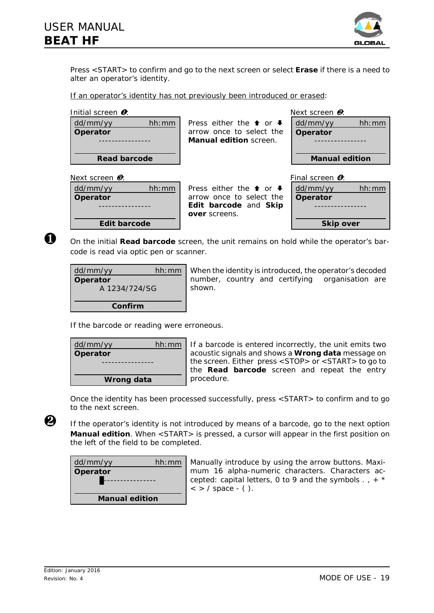

Press <START> to confirm and go to the next screen or select **Erase** if there is a need to alter an operator's identity.

*If an operator's identity has not previously been introduced or erased:*

| Initial screen $\boldsymbol{0}$ :   |                                             | Next screen $\mathbf{\Theta}$ : |
|-------------------------------------|---------------------------------------------|---------------------------------|
| hh:mm<br>dd/mm/yy                   | Press either the $\uparrow$ or $\downarrow$ | dd/mm/yy<br>hh:mm               |
| Operator                            | arrow once to select the                    | Operator                        |
| ------------                        | <b>Manual edition</b> screen.               |                                 |
| <b>Read barcode</b>                 |                                             | <b>Manual edition</b>           |
|                                     |                                             |                                 |
| Next screen $\boldsymbol{\theta}$ : |                                             | Final screen <b>O</b> :         |
| dd/mm/yy<br>hh:mm                   | Press either the $\triangle$ or $\triangle$ | dd/mm/yy<br>hh:mm               |
| Operator                            | arrow once to select the                    | Operator                        |
|                                     | Edit barcode and Skip<br>over screens.      |                                 |

Ø On the *initial* **Read barcode** *screen*, the unit remains on hold while the operator's barcode is read via optic pen or scanner.

| dd/mm/yy      | hh:mm |
|---------------|-------|
| Operator      |       |
| A 1234/724/SG |       |
|               |       |
| Confirm       |       |

When the identity is introduced, the operator's decoded number, country and certifying organisation are shown.

If the barcode or reading were erroneous.

| dd/mm/yy   | hh:mm |  |
|------------|-------|--|
| Operator   |       |  |
|            |       |  |
|            |       |  |
| Wrong data |       |  |

If a barcode is entered incorrectly, the unit emits two acoustic signals and shows a **Wrong data** message on the screen. Either press <STOP> or <START> to go to the **Read barcode** screen and repeat the entry procedure.

Once the identity has been processed successfully, press <START> to confirm and to go to the next screen.

 $\bullet$  If the operator's identity is not introduced by means of a barcode, go to the next option **Manual edition**. When <START> is pressed, a cursor will appear in the first position on the left of the field to be completed.

| dd/mm/yy              | hh:mm |  |
|-----------------------|-------|--|
| Operator              |       |  |
|                       |       |  |
|                       |       |  |
| <b>Manual edition</b> |       |  |

Manually introduce by using the arrow buttons. Maximum 16 alpha-numeric characters. Characters accepted: capital letters, 0 to 9 and the symbols  $. + *$  $\langle$  > / space - ( ).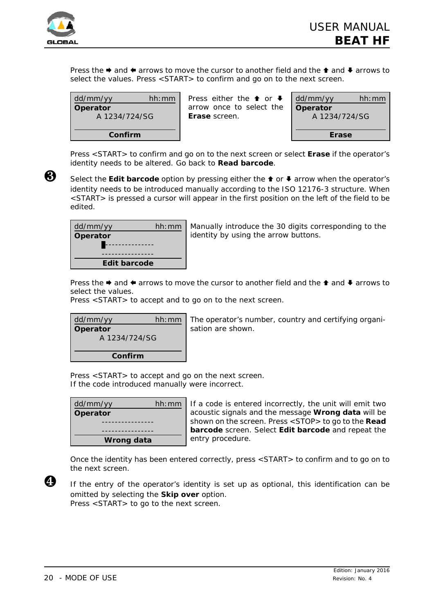

Press the  $\rightarrow$  and  $\leftarrow$  arrows to move the cursor to another field and the  $\uparrow$  and  $\downarrow$  arrows to select the values. Press <START> to confirm and go on to the next screen.

| dd/mm/yy      | hh:mm |  |
|---------------|-------|--|
| Operator      |       |  |
| A 1234/724/SG |       |  |
|               |       |  |
| Confirm       |       |  |

Press either the  $\uparrow$  or  $\downarrow$ arrow once to select the **Erase** screen.

| dd/mm/yy<br>Operator<br>A 1234/724/SG | hh:mm |  |
|---------------------------------------|-------|--|
| Erase                                 |       |  |

Press <START> to confirm and go on to the next screen or select **Erase** if the operator's identity needs to be altered. Go back to **Read barcode**.

**<sup>6</sup>** Select the **Edit barcode** option by pressing either the **↑** or ♦ arrow when the operator's identity needs to be introduced manually according to the ISO 12176-3 structure. When <START> is pressed a cursor will appear in the first position on the left of the field to be edited.



Manually introduce the 30 digits corresponding to the identity by using the arrow buttons.

Press the  $\rightarrow$  and  $\leftarrow$  arrows to move the cursor to another field and the  $\uparrow$  and  $\downarrow$  arrows to select the values.

Press <START> to accept and to go on to the next screen.



The operator's number, country and certifying organisation are shown.

Press <START> to accept and go on the next screen. If the code introduced manually were incorrect.

| dd/mm/yy   | hh:mm |  |
|------------|-------|--|
| Operator   |       |  |
|            |       |  |
|            |       |  |
| Wrong data |       |  |

If a code is entered incorrectly, the unit will emit two acoustic signals and the message **Wrong data** will be shown on the screen. Press <STOP> to go to the **Read barcode** screen. Select **Edit barcode** and repeat the entry procedure.

Once the identity has been entered correctly, press <START> to confirm and to go on to the next screen.



Û If the entry of the operator's identity is set up as optional, this identification can be omitted by selecting the **Skip over** option. Press <START> to go to the next screen.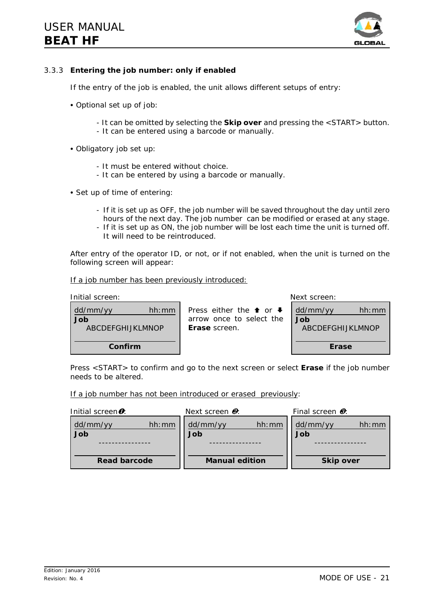

# 3.3.3 **Entering the job number: only if enabled**

If the entry of the job is enabled, the unit allows different setups of entry:

- Optional set up of job:
	- It can be omitted by selecting the **Skip over** and pressing the <START> button.
	- It can be entered using a barcode or manually.
- C *Obligatory job set up*:
	- It must be entered without choice.
	- It can be entered by using a barcode or manually.
- Set up of time of entering:
	- If it is set up as OFF, the job number will be saved throughout the day until zero hours of the next day. The job number can be modified or erased at any stage.
	- If it is set up as ON, the job number will be lost each time the unit is turned off. It will need to be reintroduced.

After entry of the operator ID, or not, or if not enabled, when the unit is turned on the following screen will appear:

#### *If a job number has been previously introduced:*

| Initial screen:                               |                                                                                                 | Next screen:                                  |
|-----------------------------------------------|-------------------------------------------------------------------------------------------------|-----------------------------------------------|
| dd/mm/yy<br>hh:mm<br>Job<br>ABCDFFGHLJKI MNOP | Press either the $\uparrow$ or $\downarrow$<br>arrow once to select the<br><b>Erase</b> screen. | dd/mm/yy<br>hh:mm<br>Job<br>ABCDFFGHLJKI MNOP |
| Confirm                                       |                                                                                                 | Erase                                         |

Press <START> to confirm and go to the next screen or select **Erase** if the job number needs to be altered.

*If a job number has not been introduced or erased previously:*

| Initial screen <sup>o</sup> : | Next screen $\mathbf{\Theta}$ : | Final screen $\boldsymbol{\theta}$ : |
|-------------------------------|---------------------------------|--------------------------------------|
| hh:mm<br>dd/mm/yy<br>Job      | dd/mm/yy<br>hh:mm<br>Job        | dd/mm/yy<br>hh·mm<br>Job             |
| <b>Read barcode</b>           | <b>Manual edition</b>           | <b>Skip over</b>                     |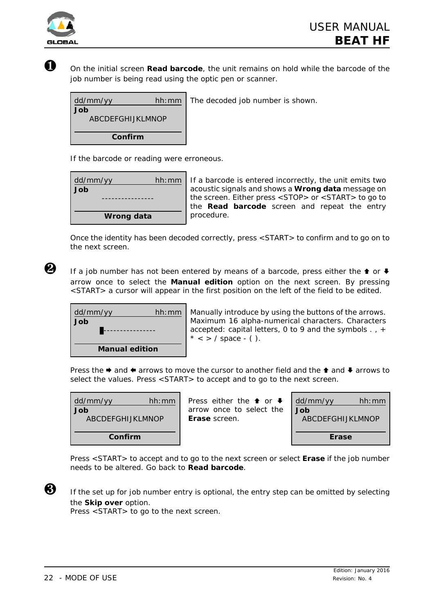

Ø On the initial screen **Read barcode**, the unit remains on hold while the barcode of the job number is being read using the optic pen or scanner.

| dd/mm/yy<br>Job   | hh: $mm$   The decoded job number is shown. |
|-------------------|---------------------------------------------|
| ABCDEFGHLIKI MNOP |                                             |
|                   |                                             |
| Confirm           |                                             |
|                   |                                             |

If the barcode or reading were erroneous.

| dd/mm/yy   | hh:mm |  |
|------------|-------|--|
| Job        |       |  |
|            |       |  |
|            |       |  |
| Wrong data |       |  |

If a barcode is entered incorrectly, the unit emits two acoustic signals and shows a **Wrong data** message on the screen. Either press <STOP> or <START> to go to the **Read barcode** screen and repeat the entry procedure.

Once the identity has been decoded correctly, press <START> to confirm and to go on to the next screen.



If a job number has not been entered by means of a barcode, press either the  $\bullet$  or  $\clubsuit$ arrow once to select the **Manual edition** option on the next screen. By pressing <START> a cursor will appear in the first position on the left of the field to be edited.

| dd/mm/yy              | hh:mm |  |
|-----------------------|-------|--|
| Job                   |       |  |
|                       |       |  |
|                       |       |  |
| <b>Manual edition</b> |       |  |

Manually introduce by using the buttons of the arrows. Maximum 16 alpha-numerical characters. Characters accepted: capital letters, 0 to 9 and the symbols . , +  $* <$  > / space - ().

Press the  $\rightarrow$  and  $\leftarrow$  arrows to move the cursor to another field and the  $\uparrow$  and  $\downarrow$  arrows to select the values. Press <START> to accept and to go to the next screen.

| dd/mm/yy         | hh:mm |  |
|------------------|-------|--|
| Job              |       |  |
| ABCDEFGHIJKLMNOP |       |  |
| Confirm          |       |  |

Press either the  $\uparrow$  or  $\downarrow$ arrow once to select the **Erase** screen.



Press <START> to accept and to go to the next screen or select **Erase** if the job number needs to be altered. Go back to **Read barcode**.

 $\bigotimes$  If the set up for job number entry is optional, the entry step can be omitted by selecting the **Skip over** option.

Press <START> to go to the next screen.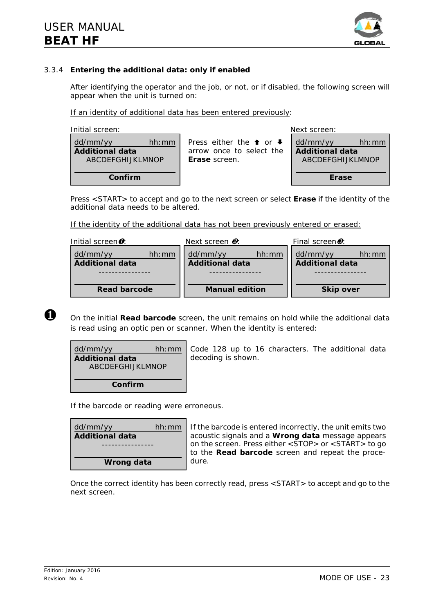

# 3.3.4 **Entering the additional data: only if enabled**

After identifying the operator and the job, or not, or if disabled, the following screen will appear when the unit is turned on:

*If an identity of additional data has been entered previously:*

| Initial screen:                                                        | Next screen:                                                                                    |                                                                 |
|------------------------------------------------------------------------|-------------------------------------------------------------------------------------------------|-----------------------------------------------------------------|
| dd/mm/yy<br>hh:mm<br><b>Additional data</b><br><b>ABCDEFGHIJKLMNOP</b> | Press either the <b>↑</b> or $\blacktriangleright$<br>arrow once to select the<br>Erase screen. | dd/mm/yy<br>hh:mm<br><b>Additional data</b><br>ABCDEFGHIJKLMNOP |
| Confirm                                                                |                                                                                                 | Erase                                                           |

Press <START> to accept and go to the next screen or select **Erase** if the identity of the additional data needs to be altered.

*If the identity of the additional data has not been previously entered or erased:*

| Initial screen $\bm{o}$ : |       | Next screen $\mathbf{\Theta}$ : |       | Final screen <sup>8</sup> : |       |
|---------------------------|-------|---------------------------------|-------|-----------------------------|-------|
| dd/mm/yy                  | hh:mm | dd/mm/yy                        | hh:mm | dd/mm/yy                    | hh·mm |
| <b>Additional data</b>    |       | <b>Additional data</b>          |       | <b>Additional data</b>      |       |
|                           |       |                                 |       |                             |       |
|                           |       |                                 |       |                             |       |
| <b>Read barcode</b>       |       | <b>Manual edition</b>           |       | <b>Skip over</b>            |       |

Ø On the initial **Read barcode** screen, the unit remains on hold while the additional data is read using an optic pen or scanner. When the identity is entered:

| dd/mm/yy               | hh:mm |
|------------------------|-------|
| <b>Additional data</b> |       |
| ABCDFFGHLJKI MNOP      |       |
|                        |       |
| Confirm                |       |

Code 128 up to 16 characters. The additional data decoding is shown.

If the barcode or reading were erroneous.

| dd/mm/yy               | hh:mm |
|------------------------|-------|
| <b>Additional data</b> |       |
|                        |       |
| Wrong data             |       |
|                        |       |

If the barcode is entered incorrectly, the unit emits two acoustic signals and a **Wrong data** message appears on the screen. Press either <STOP> or <START> to go to the **Read barcode** screen and repeat the procedure.

Once the correct identity has been correctly read, press <START> to accept and go to the next screen.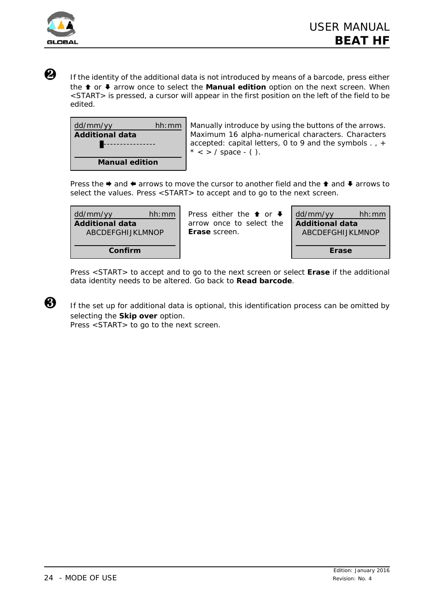

Ù If the identity of the additional data is not introduced by means of a barcode, press either the **↑** or ♦ arrow once to select the **Manual edition** option on the next screen. When <START> is pressed, a cursor will appear in the first position on the left of the field to be edited.

| dd/mm/yy               | hh:mm |
|------------------------|-------|
| <b>Additional data</b> |       |
|                        |       |
| <b>Manual edition</b>  |       |

Manually introduce by using the buttons of the arrows. Maximum 16 alpha-numerical characters. Characters accepted: capital letters, 0 to 9 and the symbols . , +  $* <$  > / space - ().

Press the  $\rightarrow$  and  $\leftarrow$  arrows to move the cursor to another field and the  $\uparrow$  and  $\downarrow$  arrows to select the values. Press <START> to accept and to go to the next screen.

| dd/mm/yy          | hh:mm |  |
|-------------------|-------|--|
| Additional data   |       |  |
| ABCDFFGHLJKI MNOP |       |  |
|                   |       |  |
| Confirm           |       |  |

Press either the  $\triangle$  or  $\blacktriangleright$ arrow once to select the **Erase** screen.

| dd/mm/yy               | hh:mm |  |
|------------------------|-------|--|
| <b>Additional data</b> |       |  |
| ABCDFFGHLJKI MNOP      |       |  |
|                        |       |  |
| Erase                  |       |  |

Press <START> to accept and to go to the next screen or select **Erase** if the additional data identity needs to be altered. Go back to **Read barcode**.

 $\bigotimes$  If the set up for additional data is optional, this identification process can be omitted by selecting the **Skip over** option.

Press <START> to go to the next screen.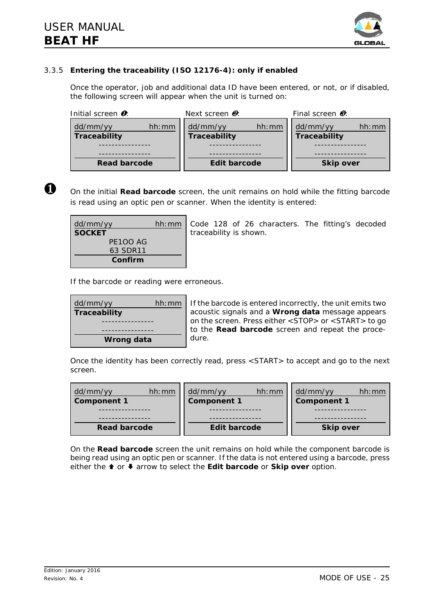

# 3.3.5 **Entering the traceability (ISO 12176-4): only if enabled**

Once the operator, job and additional data ID have been entered, or not, or if disabled, the following screen will appear when the unit is turned on:

| Initial screen $\mathbf{0}$ :     | Next screen $\mathbf{\Theta}$ :   | Final screen $\boldsymbol{\theta}$ : |
|-----------------------------------|-----------------------------------|--------------------------------------|
| hh:mm<br>dd/mm/yy<br>Traceability | dd/mm/yy<br>hh:mm<br>Traceability | dd/mm/yy<br>hh:mm<br>Traceability    |
|                                   |                                   |                                      |
|                                   |                                   |                                      |
| Read barcode                      | Edit barcode                      | <b>Skip over</b>                     |



Ø On the initial **Read barcode** screen, the unit remains on hold while the fitting barcode is read using an optic pen or scanner. When the identity is entered:

| dd/mm/yy        | hh:mm |
|-----------------|-------|
| <b>SOCKET</b>   |       |
| <b>PF100 AG</b> |       |
| 63 SDR11        |       |
| Confirm         |       |

Code 128 of 26 characters. The fitting's decoded traceability is shown.

If the barcode or reading were erroneous.

| dd/mm/yy            | hh:mm |  |
|---------------------|-------|--|
| <b>Traceability</b> |       |  |
|                     |       |  |
|                     |       |  |
| Wrong data          |       |  |

If the barcode is entered incorrectly, the unit emits two acoustic signals and a **Wrong data** message appears on the screen. Press either <STOP> or <START> to go to the **Read barcode** screen and repeat the procedure.

Once the identity has been correctly read, press <START> to accept and go to the next screen.

| dd/mm/yy<br>hh:mm<br><b>Component 1</b> | dd/mm/yy<br>hh:mm<br><b>Component 1</b> | dd/mm/yy<br>hh:mm<br><b>Component 1</b> |  |
|-----------------------------------------|-----------------------------------------|-----------------------------------------|--|
|                                         |                                         |                                         |  |
|                                         |                                         |                                         |  |
| Read barcode<br>Edit barcode            |                                         | <b>Skip over</b>                        |  |

On the **Read barcode** screen the unit remains on hold while the component barcode is being read using an optic pen or scanner. If the data is not entered using a barcode, press either the <sup>★</sup> or ↓ arrow to select the **Edit barcode** or **Skip over** option.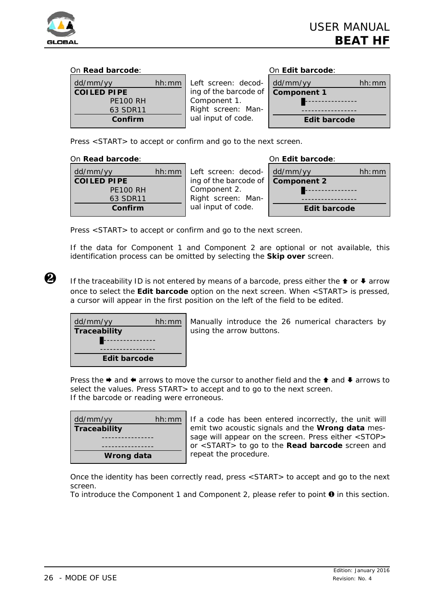

### *On Read barcode: On Edit barcode:*

| dd/mm/yy           | hh:mm | I eft |
|--------------------|-------|-------|
| <b>COILED PIPE</b> |       | ing   |
| <b>PE100 RH</b>    |       | Con   |
| 63 SDR11           |       | Rigl  |
| Confirm            |       | ual   |

screen: decodof the barcode of nponent 1. ht screen: Maninput of code.

| dd/mm/yy           | hh:mm |
|--------------------|-------|
| <b>Component 1</b> |       |
|                    |       |
| Edit barcode       |       |
|                    |       |

Press <START> to accept or confirm and go to the next screen.

### *On Read barcode:*

| dd/mm/yy           | hh: mm |
|--------------------|--------|
| <b>COILED PIPE</b> |        |
| <b>PE100 RH</b>    |        |
| 63 SDR11           |        |
| Confirm            |        |

Left screen: decoding of the barcode of Component 2. Right screen: Manual input of code.

| On Edit barcode:   |       |
|--------------------|-------|
| dd/mm/yy           | hh:mm |
| <b>Component 2</b> |       |
|                    |       |
|                    |       |
| Edit barcode       |       |

Press <START> to accept or confirm and go to the next screen.

If the data for Component 1 and Component 2 are optional or not available, this identification process can be omitted by selecting the **Skip over** screen.

If the traceability ID is not entered by means of a barcode, press either the  $\triangle$  or  $\blacktriangleright$  arrow once to select the **Edit barcode** option on the next screen. When <START> is pressed, a cursor will appear in the first position on the left of the field to be edited.

| dd/mm/yy     | hh: mm |
|--------------|--------|
| Traceability |        |
|              |        |
|              |        |
| Edit barcode |        |

Manually introduce the 26 numerical characters by using the arrow buttons.

Press the  $\rightarrow$  and  $\leftarrow$  arrows to move the cursor to another field and the  $\uparrow$  and  $\downarrow$  arrows to select the values. Press START > to accept and to go to the next screen. If the barcode or reading were erroneous.

| dd/mm/yy            | hh:mm |  |
|---------------------|-------|--|
| <b>Traceability</b> |       |  |
|                     |       |  |
|                     |       |  |
| Wrong data          |       |  |

If a code has been entered incorrectly, the unit will emit two acoustic signals and the **Wrong data** message will appear on the screen. Press either <STOP> or <START> to go to the **Read barcode** screen and repeat the procedure.

Once the identity has been correctly read, press <START> to accept and go to the next screen.

To introduce the Component 1 and Component 2, please refer to point  $\mathbf 0$  in this section.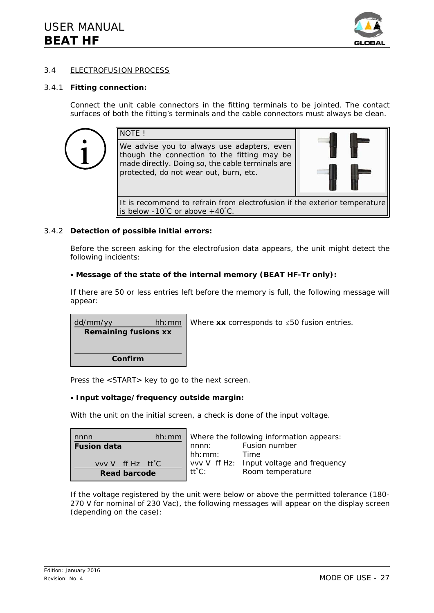

### 3.4 ELECTROFUSION PROCESS

#### 3.4.1 **Fitting connection:**

Connect the unit cable connectors in the fitting terminals to be jointed. The contact surfaces of both the fitting's terminals and the cable connectors must always be clean.

| NOTE!                                                                                                                                                                                   |  |
|-----------------------------------------------------------------------------------------------------------------------------------------------------------------------------------------|--|
| We advise you to always use adapters, even<br>though the connection to the fitting may be<br>made directly. Doing so, the cable terminals are<br>protected, do not wear out, burn, etc. |  |
| It is recommend to refrain from electrofusion if the exterior temperature<br>is below -10°C or above $+40^{\circ}$ C.                                                                   |  |

#### 3.4.2 **Detection of possible initial errors:**

Before the screen asking for the electrofusion data appears, the unit might detect the following incidents:

#### • Message of the state of the internal memory (BEAT HF-Tr only):

If there are 50 or less entries left before the memory is full, the following message will appear:



Press the <START> key to go to the next screen.

#### C **Input voltage/frequency outside margin:**

With the unit on the initial screen, a check is done of the input voltage.

| nnnn                |        | $hh:mm$ Where the following information appears: |
|---------------------|--------|--------------------------------------------------|
| <b>Fusion data</b>  | nnnn:  | Fusion number                                    |
|                     | hh:mm: | Time                                             |
| vvv V ff Hz tt°C    |        | vvv V ff Hz: Input voltage and frequency         |
| <b>Read barcode</b> | tt°C:  | Room temperature                                 |
|                     |        |                                                  |

If the voltage registered by the unit were below or above the permitted tolerance (180- 270 V for nominal of 230 Vac), the following messages will appear on the display screen (depending on the case):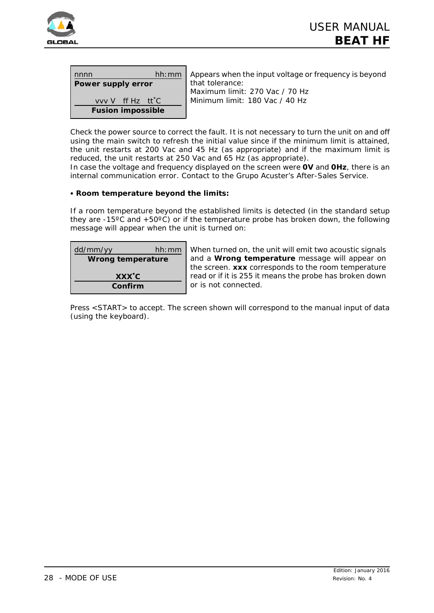

| nnnn                          |  | hh:mm |
|-------------------------------|--|-------|
| Power supply error            |  |       |
| vvv V ff Hz tt <sup>o</sup> C |  |       |
| <b>Fusion impossible</b>      |  |       |

Appears when the input voltage or frequency is beyond that tolerance: Maximum limit: 270 Vac / 70 Hz Minimum limit: 180 Vac / 40 Hz

Check the power source to correct the fault. It is not necessary to turn the unit on and off using the main switch to refresh the initial value since if the minimum limit is attained, the unit restarts at 200 Vac and 45 Hz (as appropriate) and if the maximum limit is reduced, the unit restarts at 250 Vac and 65 Hz (as appropriate).

In case the voltage and frequency displayed on the screen were **0V** and **0Hz**, there is an internal communication error. Contact to the Grupo Acuster's After-Sales Service.

# **• Room temperature beyond the limits:**

If a room temperature beyond the established limits is detected (in the standard setup they are -15 $\degree$ C and +50 $\degree$ C) or if the temperature probe has broken down, the following message will appear when the unit is turned on:

| dd/mm/yy                | hh:mm |  |
|-------------------------|-------|--|
| Wrong temperature       |       |  |
| <b>XXX<sup>°</sup>C</b> |       |  |
| Confirm                 |       |  |

When turned on, the unit will emit two acoustic signals and a **Wrong temperature** message will appear on the screen. **xxx** corresponds to the room temperature read or if it is 255 it means the probe has broken down or is not connected.

Press <START> to accept. The screen shown will correspond to the manual input of data (using the keyboard).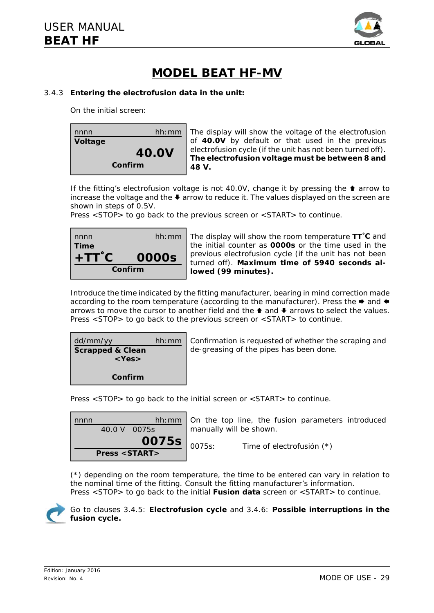

# **MODEL BEAT HF-MV**

# 3.4.3 **Entering the electrofusion data in the unit:**

On the initial screen:



The display will show the voltage of the electrofusion of **40.0V** by default or that used in the previous electrofusion cycle (if the unit has not been turned off). **The electrofusion voltage must be between 8 and 48 V.**

If the fitting's electrofusion voltage is not 40.0V, change it by pressing the  $\bullet$  arrow to increase the voltage and the  $\blacklozenge$  arrow to reduce it. The values displayed on the screen are shown in steps of 0.5V.

Press <STOP> to go back to the previous screen or <START> to continue.

| hh:mm        |  |
|--------------|--|
|              |  |
| <b>0000s</b> |  |
| Confirm      |  |
|              |  |

The display will show the room temperature **TT**/**C** and the initial counter as **0000s** or the time used in the previous electrofusion cycle (if the unit has not been turned off). **Maximum time of 5940 seconds allowed (99 minutes).**

Introduce the time indicated by the fitting manufacturer, bearing in mind correction made according to the room temperature (according to the manufacturer). Press the  $\triangleq$  and  $\triangleq$ arrows to move the cursor to another field and the  $\triangle$  and  $\blacklozenge$  arrows to select the values. Press <STOP> to go back to the previous screen or <START> to continue.

| dd/mm/yy                    | hh:mm |
|-----------------------------|-------|
| <b>Scrapped &amp; Clean</b> |       |
| $<$ Yes $>$                 |       |
| Confirm                     |       |

Confirmation is requested of whether the scraping and de-greasing of the pipes has been done.

Press <STOP> to go back to the initial screen or <START> to continue.

| nnnn                         |              | hh:mm |
|------------------------------|--------------|-------|
|                              | 40.0 V 0075s |       |
|                              |              | 0075s |
| <b>Press <start></start></b> |              |       |

On the top line, the fusion parameters introduced manually will be shown.

0075s: Time of electrofusión (\*)

(\*) depending on the room temperature, the time to be entered can vary in relation to the nominal time of the fitting. Consult the fitting manufacturer's information. Press <STOP> to go back to the initial **Fusion data** screen or <START> to continue.



Go to clauses 3.4.5: **Electrofusion cycle** and 3.4.6: **Possible interruptions in the fusion cycle.**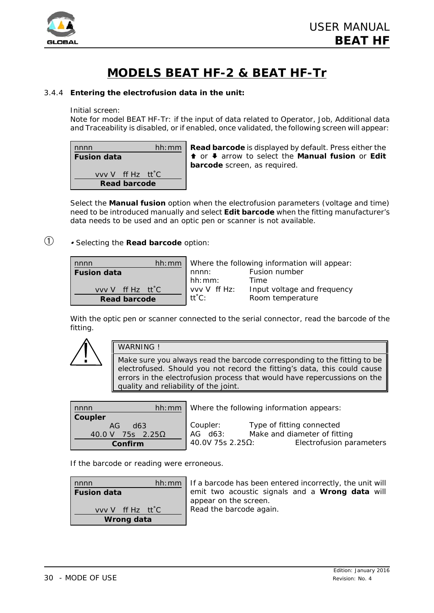

# **MODELS BEAT HF-2 & BEAT HF-Tr**

# 3.4.4 **Entering the electrofusion data in the unit:**

Initial screen:

Note for model BEAT HF-Tr: if the input of data related to Operator, Job, Additional data and Traceability is disabled, or if enabled, once validated, the following screen will appear:

| nnnn                                          |  | hh:mm |
|-----------------------------------------------|--|-------|
| <b>Fusion data</b>                            |  |       |
|                                               |  |       |
| vvv V ff Hz tt <sup>o</sup> C<br>Read barcode |  |       |

**Read barcode** is displayed by default. Press either the © or ª arrow to select the **Manual fusion** or **Edit barcode** screen, as required.

Select the **Manual fusion** option when the electrofusion parameters (voltage and time) need to be introduced manually and select **Edit barcode** when the fitting manufacturer's data needs to be used and an optic pen or scanner is not available.

# â <sup>C</sup> *Selecting the Read barcode option:*

| nnnn                |              | hh: mm   Where the following information will appear: |
|---------------------|--------------|-------------------------------------------------------|
| <b>Fusion data</b>  | nnnn:        | Fusion number                                         |
|                     | hh:mm:       | Time                                                  |
| vvv V ff Hz tt°C    | vvv V ff Hz: | Input voltage and frequency                           |
| <b>Read barcode</b> | tt°C:        | Room temperature                                      |

With the optic pen or scanner connected to the serial connector, read the barcode of the fitting.



#### WARNING !

Make sure you always read the barcode corresponding to the fitting to be electrofused. Should you not record the fitting's data, this could cause errors in the electrofusion process that would have repercussions on the quality and reliability of the joint.

| nnnn                                                          |                                           | hh: $mm$   Where the following information appears:                                   |
|---------------------------------------------------------------|-------------------------------------------|---------------------------------------------------------------------------------------|
| Coupler<br>AG<br>d63<br>75s $2.25\Omega$<br>40.0 V<br>Confirm | Coupler:<br>AG d63:<br>$40.0V$ 75s 2.25Ω: | Type of fitting connected<br>Make and diameter of fitting<br>Electrofusion parameters |

If the barcode or reading were erroneous.

| hh: mm<br>nnnn                |  |
|-------------------------------|--|
| <b>Fusion data</b>            |  |
|                               |  |
| vvv V ff Hz tt <sup>o</sup> C |  |
| Wrong data                    |  |

f a barcode has been entered incorrectly, the unit will emit two acoustic signals and a **Wrong data** will ppear on the screen. lead the barcode again.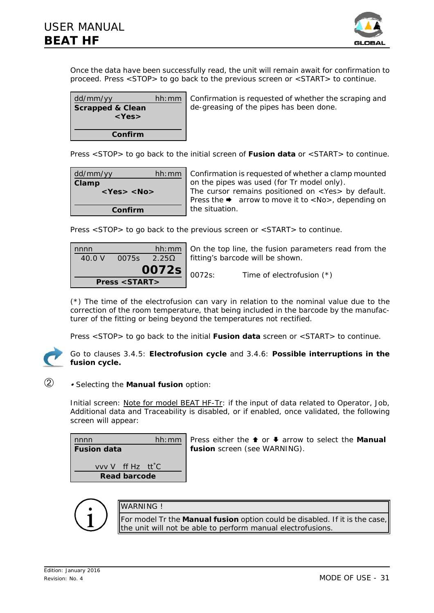

Once the data have been successfully read, the unit will remain await for confirmation to proceed. Press <STOP> to go back to the previous screen or <START> to continue.

| dd/mm/yy<br><b>Scrapped &amp; Clean</b><br>$<$ Yes $>$ | hh: mm   Confirmation is requested of whether the scraping and<br>de-greasing of the pipes has been done. |
|--------------------------------------------------------|-----------------------------------------------------------------------------------------------------------|
| Confirm                                                |                                                                                                           |

Press <STOP> to go back to the initial screen of **Fusion data** or <START> to continue.

| dd/mm/yy              | hh:mm |
|-----------------------|-------|
| Clamp                 |       |
| <yes> <no></no></yes> |       |
|                       |       |
| Confirm               |       |

Confirmation is requested of whether a clamp mounted on the pipes was used (for Tr model only). The cursor remains positioned on <Yes> by default. Press the  $\rightarrow$  arrow to move it to <No>, depending on the situation.

Press <STOP> to go back to the previous screen or <START> to continue.

| nnnn<br>40.0 V | 0075s                        |                                      | hh: mm $\vert$ On the top line, the fusion parameters read from the<br>2.25 $\Omega$   fitting's barcode will be shown. |                             |
|----------------|------------------------------|--------------------------------------|-------------------------------------------------------------------------------------------------------------------------|-----------------------------|
|                | <b>Press <start></start></b> | $\left  \frac{0072s}{0072s} \right $ |                                                                                                                         | Time of electrofusion $(*)$ |

(\*) The time of the electrofusion can vary in relation to the nominal value due to the correction of the room temperature, that being included in the barcode by the manufacturer of the fitting or being beyond the temperatures not rectified.

Press <STOP> to go back to the initial **Fusion data** screen or <START> to continue.



Go to clauses 3.4.5: **Electrofusion cycle** and 3.4.6: **Possible interruptions in the fusion cycle.**

#### ã <sup>C</sup> *Selecting the Manual fusion option:*

Initial screen: Note for model BEAT HF-Tr: if the input of data related to Operator, Job, Additional data and Traceability is disabled, or if enabled, once validated, the following screen will appear:



Press either the <sup>↑</sup> or ♦ arrow to select the Manual **fusion** screen (see WARNING).

| ۱ |  |
|---|--|
|   |  |

# WARNING !

For model Tr the **Manual fusion** option could be disabled. If it is the case, the unit will not be able to perform manual electrofusions.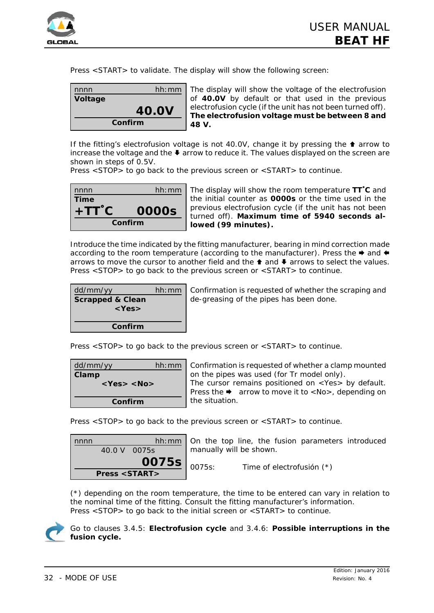

Press <START> to validate. The display will show the following screen:

| nnnn    | hh:mm        |  |
|---------|--------------|--|
| Voltage |              |  |
|         | <b>40.0V</b> |  |
| Confirm |              |  |

The display will show the voltage of the electrofusion of **40.0V** by default or that used in the previous electrofusion cycle (if the unit has not been turned off). **The electrofusion voltage must be between 8 and 48 V.**

If the fitting's electrofusion voltage is not 40.0V, change it by pressing the  $\triangle$  arrow to increase the voltage and the  $\blacklozenge$  arrow to reduce it. The values displayed on the screen are shown in steps of 0.5V.

Press <STOP> to go back to the previous screen or <START> to continue.



The display will show the room temperature **TT**/**C** and the initial counter as **0000s** or the time used in the previous electrofusion cycle (if the unit has not been turned off). **Maximum time of 5940 seconds allowed (99 minutes).**

Introduce the time indicated by the fitting manufacturer, bearing in mind correction made according to the room temperature (according to the manufacturer). Press the  $\triangleq$  and  $\triangleq$ arrows to move the cursor to another field and the  $\triangle$  and  $\blacklozenge$  arrows to select the values. Press <STOP> to go back to the previous screen or <START> to continue.

| dd/mm/yy                    | hh:mm |
|-----------------------------|-------|
| <b>Scrapped &amp; Clean</b> |       |
| $<$ Yes>                    |       |
|                             |       |
| Confirm                     |       |

Confirmation is requested of whether the scraping and de-greasing of the pipes has been done.

Press <STOP> to go back to the previous screen or <START> to continue.

| dd/mm/yy<br>hh: mm    |  |
|-----------------------|--|
| Clamp                 |  |
| <yes> <no></no></yes> |  |
|                       |  |
| Confirm               |  |

Confirmation is requested of whether a clamp mounted on the pipes was used (for Tr model only). The cursor remains positioned on <Yes> by default. Press the  $\rightarrow$  arrow to move it to  $\langle$ No $\rangle$ , depending on the situation.

Press <STOP> to go back to the previous screen or <START> to continue.



(\*) depending on the room temperature, the time to be entered can vary in relation to the nominal time of the fitting. Consult the fitting manufacturer's information. Press <STOP> to go back to the initial screen or <START> to continue.



Go to clauses 3.4.5: **Electrofusion cycle** and 3.4.6: **Possible interruptions in the fusion cycle.**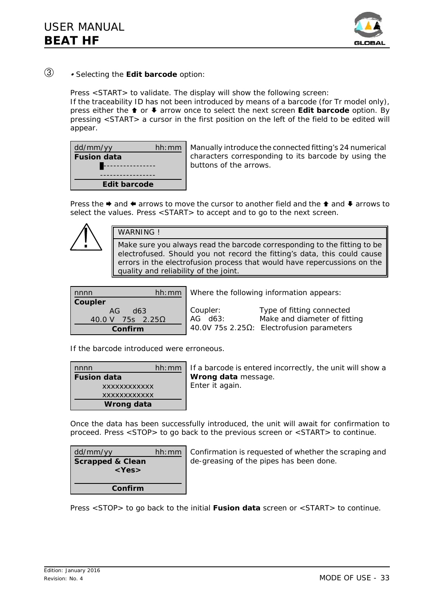

# ä <sup>C</sup> *Selecting the Edit barcode option:*

Press <START> to validate. The display will show the following screen: If the traceability ID has not been introduced by means of a barcode (for Tr model only), press either the © or ª arrow once to select the *next screen* **Edit barcode** option. By pressing <START> a cursor in the first position on the left of the field to be edited will appear.

| dd/mm/yy           | hh:mm |
|--------------------|-------|
| <b>Fusion data</b> |       |
|                    |       |
|                    |       |
| Edit barcode       |       |

Manually introduce the connected fitting's 24 numerical characters corresponding to its barcode by using the buttons of the arrows.

Press the  $\triangleq$  and  $\triangleq$  arrows to move the cursor to another field and the  $\triangleq$  and  $\triangleq$  arrows to select the values. Press <START> to accept and to go to the next screen.

#### WARNING !

Make sure you always read the barcode corresponding to the fitting to be electrofused. Should you not record the fitting's data, this could cause errors in the electrofusion process that would have repercussions on the quality and reliability of the joint.

| nnnn             |            | hh:mm |  |
|------------------|------------|-------|--|
| Coupler          |            |       |  |
|                  | $AG$ $d63$ |       |  |
| 40.0 V 75s 2.25Ω |            |       |  |
| Confirm          |            |       |  |

Where the following information appears:

| Coupler: | Type of fitting connected                 |
|----------|-------------------------------------------|
| AG d63:  | Make and diameter of fitting              |
|          | 40.0V 75s 2.25Ω: Electrofusion parameters |

If the barcode introduced were erroneous.

| nnnn                | hh:mm | lf a ł |
|---------------------|-------|--------|
| <b>Fusion data</b>  |       | Wro    |
| <b>XXXXXXXXXXXX</b> |       | Ente   |
| <b>XXXXXXXXXXXX</b> |       |        |
| <b>Wrong data</b>   |       |        |

barcode is entered incorrectly, the unit will show a **ng data** message. r it again.

Once the data has been successfully introduced, the unit will await for confirmation to proceed. Press <STOP> to go back to the previous screen or <START> to continue.

| dd/mm/yy                    | hh:mm |
|-----------------------------|-------|
| <b>Scrapped &amp; Clean</b> |       |
| $<$ Yes $>$                 |       |
|                             |       |
| Confirm                     |       |

Confirmation is requested of whether the scraping and de-greasing of the pipes has been done.

Press <STOP> to go back to the initial **Fusion data** screen or <START> to continue.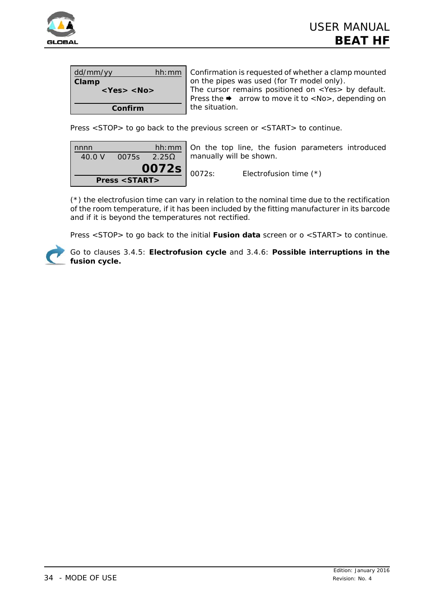

| dd/mm/yy         | hh:mm |  |  |
|------------------|-------|--|--|
| Clamp            |       |  |  |
| $<$ Yes> $<$ No> |       |  |  |
|                  |       |  |  |
| Confirm          |       |  |  |

Confirmation is requested of whether a clamp mounted on the pipes was used (for Tr model only).

The cursor remains positioned on <Yes> by default. Press the  $\rightarrow$  arrow to move it to <No>, depending on the situation.

Press <STOP> to go back to the previous screen or <START> to continue.

| nnnn                         |       | hh:mm        |  |
|------------------------------|-------|--------------|--|
| 40.0 V                       | 0075s | $2.25\Omega$ |  |
| 0072s                        |       |              |  |
| <b>Press <start></start></b> |       |              |  |

On the top line, the fusion parameters introduced manually will be shown.

0072s: Electrofusion time (\*)

(\*) the electrofusion time can vary in relation to the nominal time due to the rectification of the room temperature, if it has been included by the fitting manufacturer in its barcode and if it is beyond the temperatures not rectified.

Press <STOP> to go back to the initial **Fusion data** screen or o <START> to continue.



Go to clauses 3.4.5: **Electrofusion cycle** and 3.4.6: **Possible interruptions in the fusion cycle.**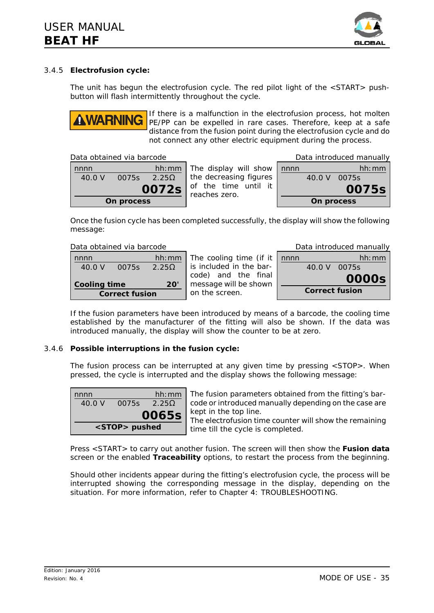

**0075s**

### 3.4.5 **Electrofusion cycle:**

The unit has begun the electrofusion cycle. The red pilot light of the  $\leq$ START $>$  pushbutton will flash intermittently throughout the cycle.



If there is a malfunction in the electrofusion process, hot molten PE/PP can be expelled in rare cases. Therefore, keep at a safe distance from the fusion point during the electrofusion cycle and do not connect any other electric equipment during the process.

| Data obtained via barcode |  |  |  |
|---------------------------|--|--|--|
|---------------------------|--|--|--|

| nnnn       |       | hh:mm             |  |  |
|------------|-------|-------------------|--|--|
| 40.0 V     | 0075s | 2.25 <sub>0</sub> |  |  |
| 0072s      |       |                   |  |  |
| On process |       |                   |  |  |



Once the fusion cycle has been completed successfully, the display will show the following message:

Data obtained via barcode

**Correct fusion**

nnnn hh:mm 40.0 V 0075s  $2.25\Omega$ **Cooling time 20'**  The cooling time (if it is included in the barcode) and the final message will be shown on the screen.

| Data introduced manually |              |       |  |  |
|--------------------------|--------------|-------|--|--|
| nnnn                     |              | hh:mm |  |  |
|                          | 40.0 V 0075s |       |  |  |
|                          |              | 0000s |  |  |
| <b>Correct fusion</b>    |              |       |  |  |

If the fusion parameters have been introduced by means of a barcode, the cooling time established by the manufacturer of the fitting will also be shown. If the data was introduced manually, the display will show the counter to be at zero.

#### 3.4.6 **Possible interruptions in the fusion cycle:**

The fusion process can be interrupted at any given time by pressing <STOP>. When pressed, the cycle is interrupted and the display shows the following message:

| nnnn                 |       | hh:mm         |  |
|----------------------|-------|---------------|--|
| 40.0 V               | 0075s | 2.25 $\Omega$ |  |
|                      |       | 0065s         |  |
| <stop> pushed</stop> |       |               |  |

The fusion parameters obtained from the fitting's barcode or introduced manually depending on the case are kept in the top line.

The electrofusion time counter will show the remaining time till the cycle is completed.

Press <START> to carry out another fusion. The screen will then show the **Fusion data** screen or the enabled **Traceability** options, to restart the process from the beginning.

Should other incidents appear during the fitting's electrofusion cycle, the process will be interrupted showing the corresponding message in the display, depending on the situation. For more information, refer to Chapter 4: TROUBLESHOOTING.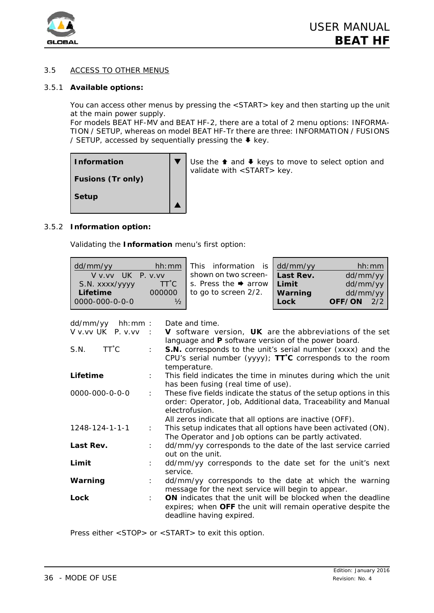

# 3.5 ACCESS TO OTHER MENUS

#### 3.5.1 **Available options:**

You can access other menus by pressing the <START> key and then starting up the unit at the main power supply.

For models BEAT HF-MV and BEAT HF-2, there are a total of 2 menu options: INFORMA-TION / SETUP, whereas on model BEAT HF-Tr there are three: INFORMATION / FUSIONS / SETUP, accessed by sequentially pressing the  $\blacklozenge$  key.

| Information              |
|--------------------------|
| <b>Fusions (Tr only)</b> |
| <b>Setup</b>             |

Use the  $\triangle$  and  $\triangle$  keys to move to select option and validate with <START> key.

#### 3.5.2 **Information option:**

Validating the **Information** menu's first option:

 $\blacktriangledown$ 

 $\blacktriangle$ 

| dd/mm/yy         | hh:mm         | This information is dd/mm/yy     |         |          | hh:mm |
|------------------|---------------|----------------------------------|---------|----------|-------|
| V v v UK P v v v |               | shown on two screen-   Last Rev. |         | dd/mm/yy |       |
| S.N. xxxx/yyyy   | $TT^{\circ}C$ | s. Press the $\rightarrow$ arrow | Limit   | dd/mm/yy |       |
| Lifetime         | 000000        | to go to screen 2/2.             | Warning | dd/mm/yy |       |
| 0000-000-0-0-0   | $\frac{1}{2}$ |                                  | Lock    | OFF/ON   | 2/2   |
|                  |               |                                  |         |          |       |

| dd/mm/yy<br>hh:mm:       |                           | Date and time.                                                                                                           |
|--------------------------|---------------------------|--------------------------------------------------------------------------------------------------------------------------|
| V v.vv UK P. v.vv :      |                           | V software version, UK are the abbreviations of the set                                                                  |
| $TT^{\circ}C$<br>S.N.    | t.                        | language and P software version of the power board.<br>S.N. corresponds to the unit's serial number (xxxx) and the       |
|                          |                           | CPU's serial number (yyyy); $TT^{\circ}C$ corresponds to the room                                                        |
|                          |                           | temperature.                                                                                                             |
| Lifetime                 | $\mathcal{L}$             | This field indicates the time in minutes during which the unit                                                           |
|                          |                           | has been fusing (real time of use).                                                                                      |
| 0000-000-0-0-0           | $\mathbb{R}^{\mathbb{Z}}$ | These five fields indicate the status of the setup options in this                                                       |
|                          |                           | order: Operator, Job, Additional data, Traceability and Manual                                                           |
|                          |                           | electrofusion.                                                                                                           |
|                          |                           | All zeros indicate that all options are inactive (OFF).                                                                  |
| $1248 - 124 - 1 - 1 - 1$ | $1 - 1$                   | This setup indicates that all options have been activated (ON).<br>The Operator and Job options can be partly activated. |
| Last Rev.                |                           | dd/mm/yy corresponds to the date of the last service carried                                                             |
|                          |                           | out on the unit.                                                                                                         |
| Limit                    |                           | dd/mm/yy corresponds to the date set for the unit's next                                                                 |
|                          |                           | service.                                                                                                                 |
| Warning                  |                           | dd/mm/yy corresponds to the date at which the warning                                                                    |
|                          |                           | message for the next service will begin to appear.                                                                       |
| Lock                     |                           | ON indicates that the unit will be blocked when the deadline                                                             |
|                          |                           | expires; when OFF the unit will remain operative despite the<br>deadline having expired.                                 |
|                          |                           |                                                                                                                          |

Press either <STOP> or <START> to exit this option.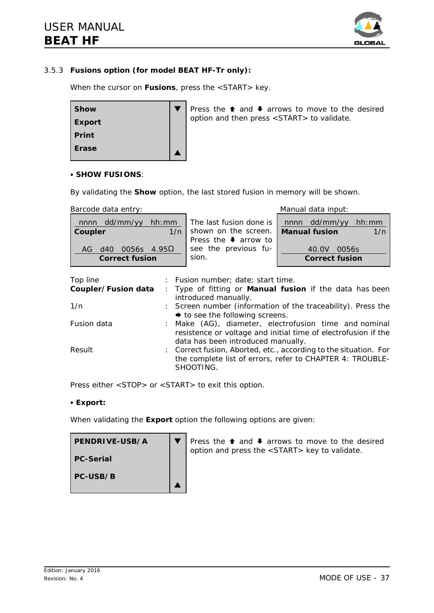

# 3.5.3 **Fusions option (for model BEAT HF-Tr only):**

When the cursor on **Fusions**, press the <START> key.



#### **C** SHOW FUSIONS:

By validating the **Show** option, the last stored fusion in memory will be shown.

sion.

AG d40 0056s  $4.95\Omega$ **Correct fusion**

|         | Barcode data entry:       |                                                              |  |                                          | Manual data input:                         |       |        |
|---------|---------------------------|--------------------------------------------------------------|--|------------------------------------------|--------------------------------------------|-------|--------|
|         | $nnnn$ dd/mm/yy           | hh: mm $\vert$ The last fusion done is $\vert$ nnnn dd/mm/yy |  |                                          |                                            |       | hh: mm |
| Coupler |                           |                                                              |  |                                          | 1/n   shown on the screen.   Manual fusion |       | 1/n    |
|         |                           |                                                              |  | Press the $\blacktriangleright$ arrow to |                                            |       |        |
|         | AG d40 0056s $4.95\Omega$ |                                                              |  | see the previous fu-                     | 40.0V                                      | 0056s |        |

**Correct fusion**

| Top line            | : Fusion number; date; start time.                                                                                                                            |
|---------------------|---------------------------------------------------------------------------------------------------------------------------------------------------------------|
| Coupler/Fusion data | : Type of fitting or <b>Manual fusion</b> if the data has been<br>introduced manually.                                                                        |
| 1/n                 | : Screen number (information of the traceability). Press the<br>$\rightarrow$ to see the following screens.                                                   |
| Fusion data         | : Make (AG), diameter, electrofusion time and nominal<br>resistence or voltage and initial time of electrofusion if the<br>data has been introduced manually. |
| Result              | : Correct fusion, Aborted, etc., according to the situation. For<br>the complete list of errors, refer to CHAPTER 4: TROUBLE-<br>SHOOTING.                    |

Press either <STOP> or <START> to exit this option.

#### • Export:

When validating the **Export** option the following options are given:

| PENDRIVE-USB/A   | Press the $\bullet$ and $\bullet$ arrows to move to the desired<br>option and press the <start> key to validate.</start> |
|------------------|--------------------------------------------------------------------------------------------------------------------------|
| <b>PC-Serial</b> |                                                                                                                          |
| PC-USB/B         |                                                                                                                          |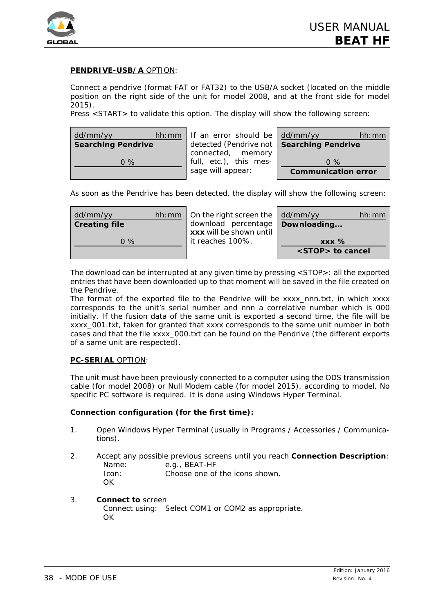

# **PENDRIVE-USB/A** OPTION:

Connect a pendrive (format FAT or FAT32) to the USB/A socket (located on the middle position on the right side of the unit for model 2008, and at the front side for model 2015).

Press <START> to validate this option. The display will show the following screen:

| dd/mm/yy                  | hh: mm   If an error should be $\frac{1}{2}$ dd/mm/yy | hh:mm                      |
|---------------------------|-------------------------------------------------------|----------------------------|
| <b>Searching Pendrive</b> | detected (Pendrive not   Searching Pendrive           |                            |
|                           | connected, memory                                     |                            |
| $0\%$                     | full, etc.), this mes-                                | $0\%$                      |
|                           | sage will appear:                                     | <b>Communication error</b> |

As soon as the Pendrive has been detected, the display will show the following screen:

| dd/mm/yy             | hh: mm $\vert$ On the right screen the $\vert$ dd/mm/yy | hh:mm                   |
|----------------------|---------------------------------------------------------|-------------------------|
| <b>Creating file</b> | download percentage                                     | Downloading             |
|                      | xxx will be shown until                                 |                         |
| $0\%$                | it reaches 100%.                                        | $\overline{XXX}$ %      |
|                      |                                                         | <stop> to cancel</stop> |

The download can be interrupted at any given time by pressing <STOP>: all the exported entries that have been downloaded up to that moment will be saved in the file created on the Pendrive.

The format of the exported file to the Pendrive will be xxxx\_nnn.txt, in which xxxx corresponds to the unit's serial number and nnn a correlative number which is 000 initially. If the fusion data of the same unit is exported a second time, the file will be xxxx\_001.txt, taken for granted that xxxx corresponds to the same unit number in both cases and that the file xxxx\_000.txt can be found on the Pendrive (the different exports of a same unit are respected).

#### **PC-SERIAL** OPTION:

The unit must have been previously connected to a computer using the ODS transmission cable (for model 2008) or Null Modem cable (for model 2015), according to model. No specific PC software is required. It is done using Windows *Hyper Terminal*.

#### **Connection configuration (for the first time):**

- 1. Open Windows Hyper Terminal (usually in Programs / Accessories / Communications).
- 2. Accept any possible previous screens until you reach **Connection Description**: Name: e.g., BEAT-HF Icon: Choose one of the icons shown. OK
- 3. **Connect to** screen Connect using: Select COM1 or COM2 as appropriate. **OK**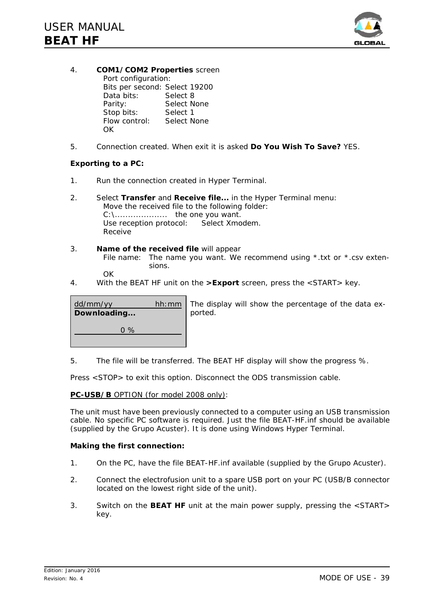

- 4. **COM1/COM2 Properties** screen Port configuration: Bits per second: Select 19200 Data bits: Select 8 Parity: Select None Stop bits: Select 1 Flow control: Select None **OK**
- 5. Connection created. When exit it is asked **Do You Wish To Save?** YES.

### **Exporting to a PC:**

- 1. Run the connection created in Hyper Terminal.
- 2. Select **Transfer** and **Receive file...** in the Hyper Terminal menu: Move the received file to the following folder: C:\.................... the one you want. Use reception protocol: Select Xmodem. Receive
- 3. **Name of the received file** will appear File name: The name you want. We recommend using \*.txt or \*.csv extensions. OK
- 4. With the BEAT HF unit on the **>Export** screen, press the <START> key.

| dd/mm/yy<br>Downloading | hh: mm   The display will show the percentage of the data ex-<br>ported. |
|-------------------------|--------------------------------------------------------------------------|
| $0\%$                   |                                                                          |

5. The file will be transferred. The BEAT HF display will show the progress %.

Press <STOP> to exit this option. Disconnect the ODS transmission cable.

#### **PC-USB/B** OPTION (for model 2008 only):

The unit must have been previously connected to a computer using an USB transmission cable. No specific PC software is required. Just the file *BEAT-HF.inf* should be available (supplied by the Grupo Acuster). It is done using Windows Hyper Terminal.

#### **Making the first connection:**

- 1. On the PC, have the file *BEAT-HF.inf* available (supplied by the Grupo Acuster).
- 2. Connect the electrofusion unit to a spare USB port on your PC (USB/B connector located on the lowest right side of the unit).
- 3. Switch on the **BEAT HF** unit at the main power supply, pressing the <START> key.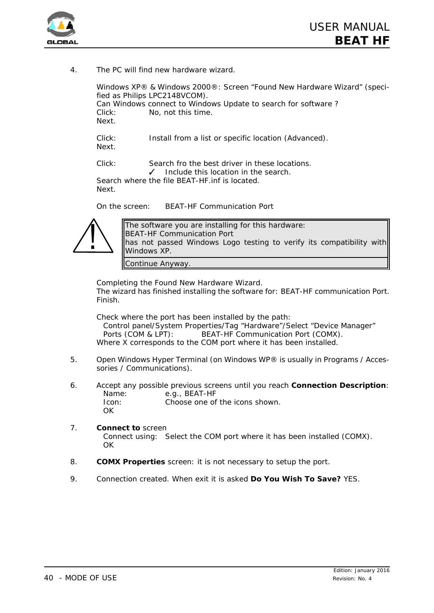

4. The PC will find new hardware wizard.

*Windows XP® & Windows 2000®*: Screen "Found New Hardware Wizard" (specified as Philips LPC2148VCOM). Can Windows connect to Windows Update to search for software ? Click: *No, not this time*. Next.

Click: *Install from a list or specific location (Advanced)*. Next.

Click: *Search fro the best driver in these locations.* Include this location in the search. Search where the file *BEAT-HF.inf* is located.

Next.

On the screen: BEAT-HF Communication Port



The software you are installing for this hardware: BEAT-HF Communication Port has not passed Windows Logo testing to verify its compatibility with Windows XP.

Continue Anyway.

Completing the Found New Hardware Wizard. The wizard has finished installing the software for: BEAT-HF communication Port. Finish.

Check where the port has been installed by the path:

Control panel/System Properties/Tag "Hardware"/Select "Device Manager" Ports (COM & LPT): BEAT-HF Communication Port (COMX). Where X corresponds to the COM port where it has been installed.

- 5. Open Windows Hyper Terminal (on Windows WP® is usually in Programs / Accessories / Communications).
- 6. Accept any possible previous screens until you reach **Connection Description**: Name: e.g., BEAT-HF Icon: Choose one of the icons shown. **OK**

#### 7. **Connect to** screen Connect using: Select the COM port where it has been installed (COMX). OK

- 8. **COMX Properties** screen: it is not necessary to setup the port.
- 9. Connection created. When exit it is asked **Do You Wish To Save?** YES.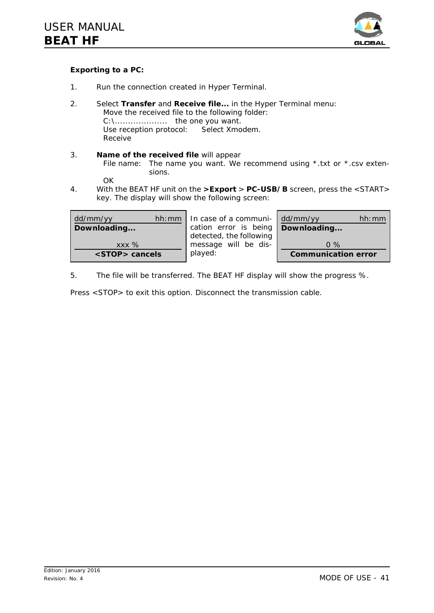

# **Exporting to a PC:**

- 1. Run the connection created in Hyper Terminal.
- 2. Select **Transfer** and **Receive file...** in the Hyper Terminal menu: Move the received file to the following folder: C:\.................... the one you want. Use reception protocol: Select Xmodem. Receive
- 3. **Name of the received file** will appear File name: The name you want. We recommend using \*.txt or \*.csv extensions.

**OK** 

4. With the BEAT HF unit on the **>Export** > **PC-USB/B** screen, press the <START> key. The display will show the following screen:

| dd/mm/yy<br>hh:mm     | In case of a communi-               | dd/mm/yy<br>hh:mm          |
|-----------------------|-------------------------------------|----------------------------|
| Downloading           | cation error is being   Downloading |                            |
|                       | detected, the following             |                            |
| $XXX\%$               | message will be dis-                | $0\%$                      |
| <stop> cancels</stop> | played:                             | <b>Communication error</b> |

5. The file will be transferred. The BEAT HF display will show the progress %.

Press <STOP> to exit this option. Disconnect the transmission cable.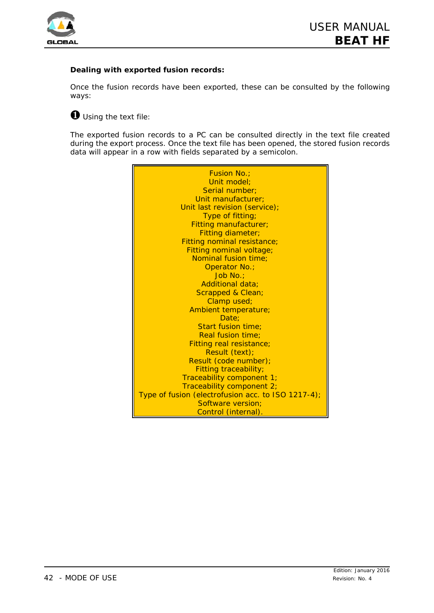

# **Dealing with exported fusion records:**

Once the fusion records have been exported, these can be consulted by the following ways:

# Ø *Using the text file:*

The exported fusion records to a PC can be consulted directly in the text file created during the export process. Once the text file has been opened, the stored fusion records data will appear in a row with fields separated by a semicolon.

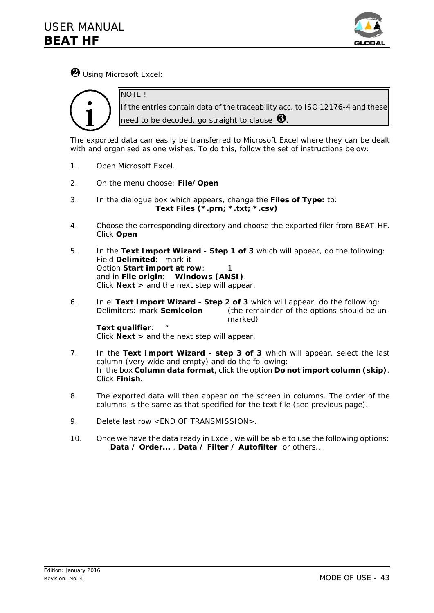

Ù *Using Microsoft Excel:*

NOTE !



If the entries contain data of the traceability acc. to ISO 12176-4 and these need to be decoded, go straight to clause  $\bigcirc$ 

The exported data can easily be transferred to Microsoft Excel where they can be dealt with and organised as one wishes. To do this, follow the set of instructions below:

- 1. Open Microsoft Excel.
- 2. On the menu choose: *File/Open*
- 3. In the dialogue box which appears, change the *Files of Type:* to: *Text Files (\*.prn; \*.txt; \*.csv)*
- 4. Choose the corresponding directory and choose the exported filer from BEAT-HF. Click *Open*
- 5. In the *Text Import Wizard Step 1 of 3* which will appear, do the following: Field *Delimited*: mark it Option *Start import at row*: 1 and in *File origin*: **Windows (ANSI)**. Click *Next >* and the next step will appear.
- 6. In el *Text Import Wizard Step 2 of 3* which will appear, do the following: Delimiters: mark *Semicolon* (the remainder of the options should be unmarked)

**Text qualifier:** Click *Next >* and the next step will appear.

- 7. In the *Text Import Wizard step 3 of 3* which will appear, select the last column (very wide and empty) and do the following: In the box **Column data format**, click the option *Do not import column (skip)*. Click *Finish*.
- 8. The exported data will then appear on the screen in columns. The order of the columns is the same as that specified for the text file (see previous page).
- 9. Delete last row <END OF TRANSMISSION>.
- 10. Once we have the data ready in Excel, we will be able to use the following options: *Data / Order...* , *Data / Filter / Autofilter* or others...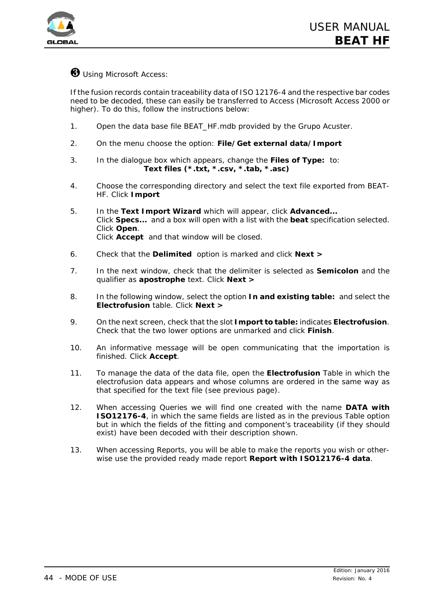

# *<sup>8</sup> Using Microsoft Access:*

If the fusion records contain traceability data of ISO 12176-4 and the respective bar codes need to be decoded, these can easily be transferred to Access (Microsoft Access 2000 or higher). To do this, follow the instructions below:

- 1. Open the data base file BEAT\_HF.mdb *provided by the Grupo Acuster.*
- 2. On the menu choose the option: *File/Get external data/Import*
- 3. In the dialogue box which appears, change the *Files of Type:* to: *Text files (\*.txt, \*.csv, \*.tab, \*.asc)*
- 4. Choose the corresponding directory and select the text file exported from BEAT-HF. Click *Import*
- 5. In the *Text Import Wizard* which will appear, click *Advanced...* Click *Specs...* and a box will open with a list with the *beat* specification selected. Click *Open*. Click *Accept* and that window will be closed.
- 6. Check that the *Delimited* option is marked and click *Next >*
- 7. In the next window, check that the delimiter is selected as *Semicolon* and the qualifier as **apostrophe** text. Click *Next >*
- 8. In the following window, select the option *In and existing table:* and select the *Electrofusion* table. Click *Next >*
- 9. On the next screen, check that the slot *Import to table:* indicates *Electrofusion*. Check that the two lower options are unmarked and click *Finish*.
- 10. An informative message will be open communicating that the importation is finished. Click *Accept*.
- 11. To manage the data of the data file, open the *Electrofusion* Table in which the electrofusion data appears and whose columns are ordered in the same way as that specified for the text file (see previous page).
- 12. When accessing Queries we will find one created with the name **DATA with ISO12176-4**, in which the same fields are listed as in the previous Table option but in which the fields of the fitting and component's traceability (if they should exist) have been decoded with their description shown.
- 13. When accessing Reports, you will be able to make the reports you wish or otherwise use the provided ready made report **Report with ISO12176-4 data**.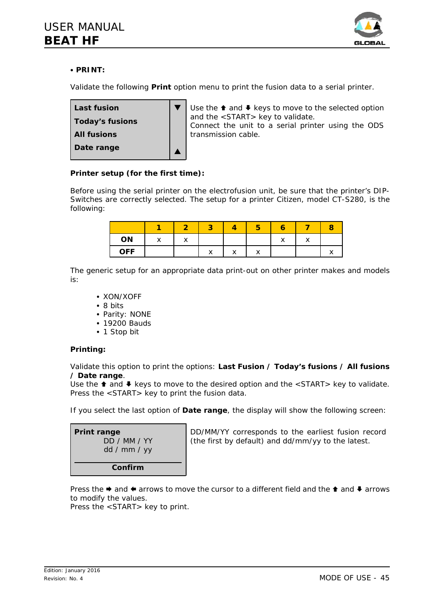

# C **PRINT:**

Validate the following **Print** option menu to print the fusion data to a serial printer.



Use the  $\triangle$  and  $\triangle$  keys to move to the selected option and the <START> key to validate.

Connect the unit to a serial printer using the ODS transmission cable.

# **Printer setup (for the first time):**

Before using the serial printer on the electrofusion unit, be sure that the printer's *DIP-Switches* are correctly selected. The setup for a printer Citizen, model CT-S280, is the following:

|            |              |         |              |         | ю       |              |  |
|------------|--------------|---------|--------------|---------|---------|--------------|--|
| ON         | $\checkmark$ | $\cdot$ |              |         |         | $\checkmark$ |  |
| <b>OFF</b> |              |         | $\checkmark$ | $\cdot$ | $\cdot$ |              |  |

The generic setup for an appropriate data print-out on other printer makes and models is:

- XON/XOFF
- $\bullet$  8 bits
- Parity: NONE
- 19200 Bauds
- 1 Stop bit

# **Printing:**

Validate this option to print the options: **Last Fusion / Today's fusions / All fusions / Date range**.

Use the  $\triangle$  and  $\blacklozenge$  keys to move to the desired option and the <START> key to validate. Press the <START> key to print the fusion data.

If you select the last option of **Date range**, the display will show the following screen:

| <b>Print range</b><br>DD / MM / YY<br>dd / mm / yy |  |  |  |  |  |
|----------------------------------------------------|--|--|--|--|--|
| Confirm                                            |  |  |  |  |  |

DD/MM/YY corresponds to the earliest fusion record (the first by default) and dd/mm/yy to the latest.

Press the  $\triangleq$  and  $\triangleq$  arrows to move the cursor to a different field and the  $\triangleq$  and  $\triangleq$  arrows to modify the values.

Press the <START> key to print.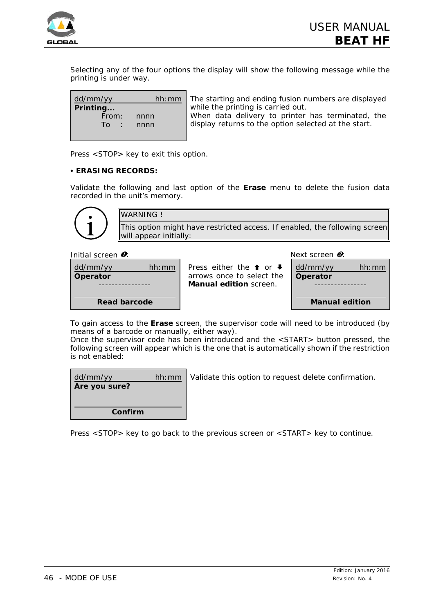

Selecting any of the four options the display will show the following message while the printing is under way.

| dd/mm/yy  |      | hh: mm   The starting and ending fusion numbers are displayed |
|-----------|------|---------------------------------------------------------------|
| Printing  |      | while the printing is carried out.                            |
| From:     | nnnn | When data delivery to printer has terminated, the             |
| To : nnnn |      | display returns to the option selected at the start.          |
|           |      |                                                               |
|           |      |                                                               |

Press <STOP> key to exit this option.

#### C **ERASING RECORDS:**

Validate the following and last option of the **Erase** menu to delete the fusion data recorded in the unit's memory.

WARNING ! This option might have restricted access. If enabled, the following screen will appear initially:

*Initial screen* Ø*: Next screen* Ù*:*

| dd/mm/yy     | hh:mm |
|--------------|-------|
| Operator     |       |
|              |       |
|              |       |
| Read barcode |       |

Press either the  $\uparrow$  or  $\uparrow$ arrows once to select the **Manual edition** screen.

| dd/mm/yy              | hh:mm |  |
|-----------------------|-------|--|
| Operator              |       |  |
|                       |       |  |
| <b>Manual edition</b> |       |  |
|                       |       |  |

To gain access to the **Erase** screen, the supervisor code will need to be introduced (by means of a barcode or manually, either way).

Once the supervisor code has been introduced and the <START> button pressed, the following screen will appear which is the one that is automatically shown if the restriction is not enabled:

| dd/mm/yy<br>Are you sure? | hh:mm | Validate this option to request delete confirmation. |
|---------------------------|-------|------------------------------------------------------|
| Confirm                   |       |                                                      |

Press <STOP> key to go back to the previous screen or <START> key to continue.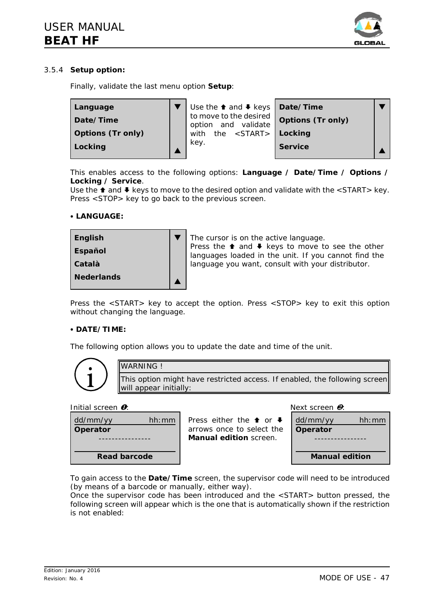

# 3.5.4 **Setup option:**

Finally, validate the last menu option **Setup**:



This enables access to the following options: **Language / Date/Time / Options / Locking / Service**.

Use the  $\triangle$  and  $\blacktriangleright$  keys to move to the desired option and validate with the <START> key. Press <STOP> key to go back to the previous screen.

#### **• LANGUAGE:**



Press the <START> key to accept the option. Press <STOP> key to exit this option without changing the language.

#### C **DATE/TIME:**

The following option allows you to update the date and time of the unit.



WARNING! This option might have restricted access. If enabled, the following screen will appear initially:

#### *Initial screen* Ø*: Next screen* Ù*:*

dd/mm/yy hh:mm **Operator** ---------------- **Read barcode** Press either the  $\uparrow$  or  $\downarrow$ arrows once to select the **Manual edition** screen. dd/mm/yy hh:mm **Operator** ---------------- **Manual edition**

To gain access to the **Date/Time** screen, the supervisor code will need to be introduced (by means of a barcode or manually, either way).

Once the supervisor code has been introduced and the <START> button pressed, the following screen will appear which is the one that is automatically shown if the restriction is not enabled: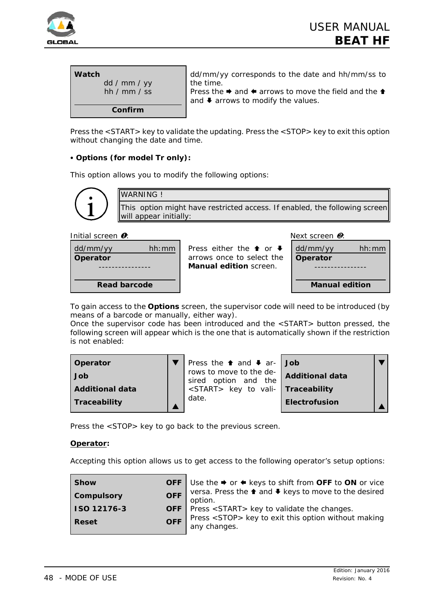

| Watch<br>dd / mm / yy<br>hh / $mm / ss$ | dd/mm/yy corresponds to the date and hh/mm/ss to<br>the time.<br>Press the $\rightarrow$ and $\leftarrow$ arrows to move the field and the $\uparrow$<br>and $\blacklozenge$ arrows to modify the values. |
|-----------------------------------------|-----------------------------------------------------------------------------------------------------------------------------------------------------------------------------------------------------------|
| Confirm                                 |                                                                                                                                                                                                           |

Press the <START> key to validate the updating. Press the <STOP> key to exit this option without changing the date and time.

# C **Options (for model Tr only):**

This option allows you to modify the following options:



*Initial screen*  $\bullet$ *:* Next screen  $\bullet$ :

| dd/mm/yy        | hh:mm |
|-----------------|-------|
| <b>Operator</b> |       |
|                 |       |
| Read barcode    |       |
|                 |       |

Press either the  $\triangle$  or  $\blacktriangleright$ arrows once to select the **Manual edition** screen.



To gain access to the **Options** screen, the supervisor code will need to be introduced (by means of a barcode or manually, either way).

Once the supervisor code has been introduced and the <START> button pressed, the following screen will appear which is the one that is automatically shown if the restriction is not enabled:

| Operator               | Press the <del>1</del> and ↓ ar- Job            |                        |  |
|------------------------|-------------------------------------------------|------------------------|--|
| Job                    | rows to move to the de-<br>sired option and the | <b>Additional data</b> |  |
| <b>Additional data</b> | <start> key to vali- Traceability</start>       |                        |  |
| Traceability           | date.                                           | <b>Electrofusion</b>   |  |

Press the <STOP> key to go back to the previous screen.

# **Operator:**

Accepting this option allows us to get access to the following operator's setup options:

| <b>Show</b>                | <b>OFF</b> Use the $\rightarrow$ or $\leftarrow$ keys to shift from <b>OFF</b> to <b>ON</b> or vice |
|----------------------------|-----------------------------------------------------------------------------------------------------|
| <b>OFF</b><br>Compulsory   | versa. Press the <sup>1</sup> and ↓ keys to move to the desired<br>option.                          |
| <b>ISO 12176-3</b>         | <b>OFF</b> Press <start> key to validate the changes.</start>                                       |
| <b>OFF</b><br><b>Reset</b> | Press <stop> key to exit this option without making<br/>any changes.</stop>                         |
|                            |                                                                                                     |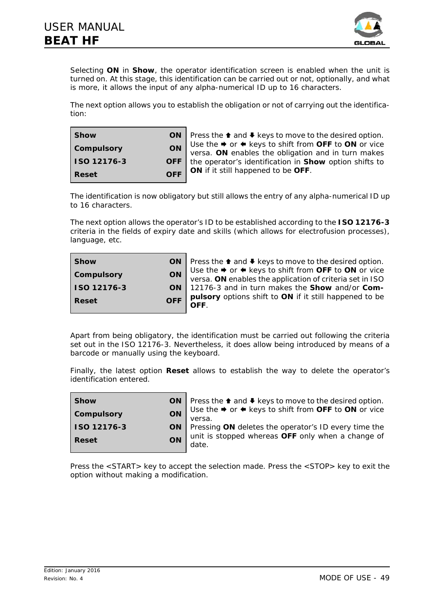

Selecting **ON** in **Show**, the operator identification screen is enabled when the unit is turned on. At this stage, this identification can be carried out or not, optionally, and what is more, it allows the input of any alpha-numerical ID up to 16 characters.

The next option allows you to establish the obligation or not of carrying out the identification:

| <b>Show</b>       | ΟN         |  |
|-------------------|------------|--|
| <b>Compulsory</b> | ON         |  |
| ISO 12176-3       | <b>OFF</b> |  |
| Reset             | <b>OFF</b> |  |

Press the  $\triangle$  and  $\blacktriangleright$  keys to move to the desired option. Use the  $\rightarrow$  or  $\leftarrow$  keys to shift from **OFF** to **ON** or vice versa. **ON** enables the obligation and in turn makes the operator's identification in **Show** option shifts to **ON** if it still happened to be **OFF**.

The identification is now obligatory but still allows the entry of any alpha-numerical ID up to 16 characters.

The next option allows the operator's ID to be established according to the **ISO 12176-3** criteria in the fields of expiry date and skills (which allows for electrofusion processes), language, etc.

| <b>Show</b>  |           | ON   Press the $\uparrow$ and $\uparrow$ keys to move to the desired option.                                                           |
|--------------|-----------|----------------------------------------------------------------------------------------------------------------------------------------|
| Compulsory   | <b>ON</b> | Use the $\Rightarrow$ or $\Leftarrow$ keys to shift from OFF to ON or vice<br>versa. ON enables the application of criteria set in ISO |
| ISO 12176-3  |           | ON   12176-3 and in turn makes the Show and/or Com-                                                                                    |
| <b>Reset</b> | OFF       | pulsory options shift to ON if it still happened to be<br>OFF.                                                                         |

Apart from being obligatory, the identification must be carried out following the criteria set out in the ISO 12176-3. Nevertheless, it does allow being introduced by means of a barcode or manually using the keyboard.

Finally, the latest option **Reset** allows to establish the way to delete the operator's identification entered.

| l Show                  | ON   Press the $\triangle$ and $\triangle$ keys to move to the desired option. |
|-------------------------|--------------------------------------------------------------------------------|
| ON<br><b>Compulsory</b> | Use the → or ← keys to shift from OFF to ON or vice                            |
|                         | versa.                                                                         |
| <b>ISO 12176-3</b>      | <b>ON</b> Pressing ON deletes the operator's ID every time the                 |
| ON                      | unit is stopped whereas OFF only when a change of                              |
| <b>Reset</b>            | date.                                                                          |
|                         |                                                                                |

Press the <START> key to accept the selection made. Press the <STOP> key to exit the option without making a modification.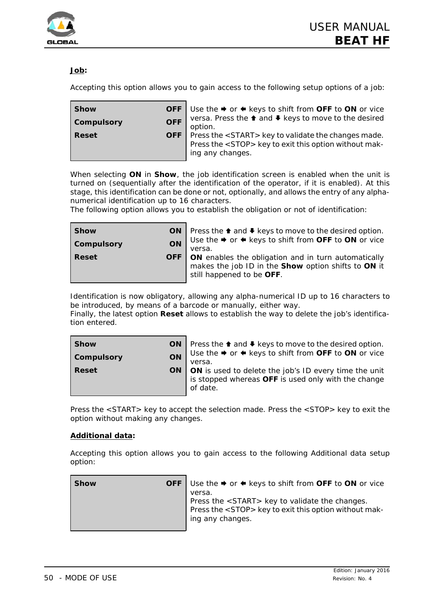

# **Job:**

Accepting this option allows you to gain access to the following setup options of a job:

| <b>Show</b>              | <b>OFF</b> Use the $\rightarrow$ or $\leftarrow$ keys to shift from <b>OFF</b> to <b>ON</b> or vice                                             |
|--------------------------|-------------------------------------------------------------------------------------------------------------------------------------------------|
| <b>OFF</b><br>Compulsory | versa. Press the ↑ and ♦ keys to move to the desired<br>option.                                                                                 |
| <b>Reset</b>             | <b>OFF</b> $\vert$ Press the <start> key to validate the changes made.<br/>Press the <stop> key to exit this option without mak-</stop></start> |
|                          | ing any changes.                                                                                                                                |

When selecting **ON** in **Show**, the job identification screen is enabled when the unit is turned on (sequentially after the identification of the operator, if it is enabled). At this stage, this identification can be done or not, optionally, and allows the entry of any alphanumerical identification up to 16 characters.

The following option allows you to establish the obligation or not of identification:

| <b>Show</b>  | ON   Press the <sup>↑</sup> and ↓ keys to move to the desired option.         |
|--------------|-------------------------------------------------------------------------------|
| Compulsory   | ON Use the $\rightarrow$ or $\leftarrow$ keys to shift from OFF to ON or vice |
|              | versa.                                                                        |
| <b>Reset</b> | <b>OFF</b>   ON enables the obligation and in turn automatically              |
|              | makes the job ID in the Show option shifts to ON it                           |
|              | still happened to be OFF.                                                     |
|              |                                                                               |

Identification is now obligatory, allowing any alpha-numerical ID up to 16 characters to be introduced, by means of a barcode or manually, either way.

Finally, the latest option **Reset** allows to establish the way to delete the job's identification entered.

| <b>Show</b>      | ON $\vert$ Press the $\uparrow$ and $\uparrow$ keys to move to the desired option. |
|------------------|------------------------------------------------------------------------------------|
| ON<br>Compulsory | I Use the → or ← keys to shift from OFF to ON or vice<br>versa.                    |
| <b>Reset</b>     | <b>ON</b>   <b>ON</b> is used to delete the job's ID every time the unit           |
|                  | is stopped whereas OFF is used only with the change<br>of date.                    |
|                  |                                                                                    |

Press the <START> key to accept the selection made. Press the <STOP> key to exit the option without making any changes.

#### **Additional data:**

Accepting this option allows you to gain access to the following Additional data setup option:

| <b>Show</b> | <b>OFF</b> Use the $\rightarrow$ or $\leftarrow$ keys to shift from <b>OFF</b> to <b>ON</b> or vice                                                    |
|-------------|--------------------------------------------------------------------------------------------------------------------------------------------------------|
|             | versa.<br>Press the <start> key to validate the changes.<br/>Press the <stop> key to exit this option without mak-<br/>ing any changes.</stop></start> |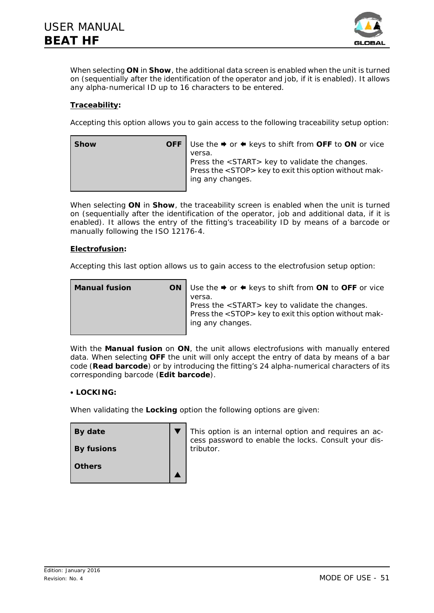

When selecting **ON** in **Show**, the additional data screen is enabled when the unit is turned on (sequentially after the identification of the operator and job, if it is enabled). It allows any alpha-numerical ID up to 16 characters to be entered.

# **Traceability:**

Accepting this option allows you to gain access to the following traceability setup option:

| <b>Show</b> | <b>OFF</b> Use the $\rightarrow$ or $\leftarrow$ keys to shift from <b>OFF</b> to <b>ON</b> or vice |
|-------------|-----------------------------------------------------------------------------------------------------|
|             | versa.<br>Press the <start> key to validate the changes.</start>                                    |
|             | Press the <stop> key to exit this option without mak-</stop>                                        |
|             | ing any changes.                                                                                    |
|             |                                                                                                     |

When selecting **ON** in **Show**, the traceability screen is enabled when the unit is turned on (sequentially after the identification of the operator, job and additional data, if it is enabled). It allows the entry of the fitting's traceability ID by means of a barcode or manually following the ISO 12176-4.

#### **Electrofusion:**

Accepting this last option allows us to gain access to the electrofusion setup option:

| <b>Manual fusion</b> | ON   Use the $\rightarrow$ or $\leftarrow$ keys to shift from ON to OFF or vice |
|----------------------|---------------------------------------------------------------------------------|
|                      | versa.                                                                          |
|                      | Press the <start> key to validate the changes.</start>                          |
|                      | Press the <stop> key to exit this option without mak-</stop>                    |
|                      | ing any changes.                                                                |
|                      |                                                                                 |

With the **Manual fusion** on **ON**, the unit allows electrofusions with manually entered data. When selecting **OFF** the unit will only accept the entry of data by means of a bar code (**Read barcode**) or by introducing the fitting's 24 alpha-numerical characters of its corresponding barcode (**Edit barcode**).

#### **• LOCKING:**

When validating the **Locking** option the following options are given:

| By date           | This option is an internal option and requires an ac-<br>cess password to enable the locks. Consult your dis- |
|-------------------|---------------------------------------------------------------------------------------------------------------|
| <b>By fusions</b> | tributor.                                                                                                     |
| <b>Others</b>     |                                                                                                               |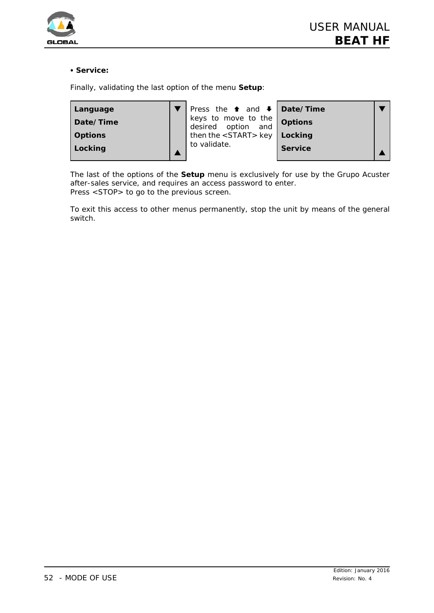

#### $\cdot$  Service:

Finally, validating the last option of the menu **Setup**:

| Language       | Press the $\uparrow$ and $\downarrow$ <b>Date/Time</b>    |                |  |
|----------------|-----------------------------------------------------------|----------------|--|
| Date/Time      | theys to move to the <b>options</b><br>desired option and |                |  |
| <b>Options</b> | then the $\langle$ START > key   Locking                  |                |  |
| Locking        | to validate.                                              | <b>Service</b> |  |

The last of the options of the **Setup** menu is exclusively for use by the Grupo Acuster after-sales service, and requires an access password to enter. Press <STOP> to go to the previous screen.

To exit this access to other menus permanently, stop the unit by means of the general switch.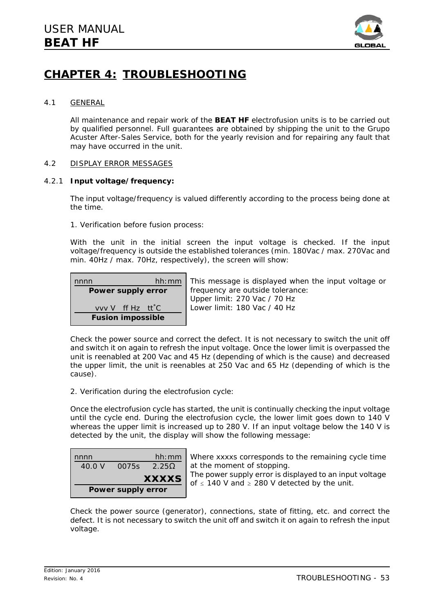

# **CHAPTER 4: TROUBLESHOOTING**

#### 4.1 GENERAL

All maintenance and repair work of the **BEAT HF** electrofusion units is to be carried out by qualified personnel. Full guarantees are obtained by shipping the unit to the Grupo Acuster After-Sales Service, both for the yearly revision and for repairing any fault that may have occurred in the unit.

### 4.2 DISPLAY ERROR MESSAGES

### 4.2.1 **Input voltage/frequency:**

The input voltage/frequency is valued differently according to the process being done at the time.

1. *Verification before fusion process:*

With the unit in the initial screen the input voltage is checked. If the input voltage/frequency is outside the established tolerances (min. 180Vac / max. 270Vac and min. 40Hz / max. 70Hz, respectively), the screen will show:

| nnnn                          | hh:mm |
|-------------------------------|-------|
| Power supply error            |       |
| vvv V ff Hz tt <sup>o</sup> C |       |
| <b>Fusion impossible</b>      |       |

This message is displayed when the input voltage or frequency are outside tolerance: Upper limit: 270 Vac / 70 Hz Lower limit: 180 Vac / 40 Hz

Check the power source and correct the defect. It is not necessary to switch the unit off and switch it on again to refresh the input voltage. Once the lower limit is overpassed the unit is reenabled at 200 Vac and 45 Hz (depending of which is the cause) and decreased the upper limit, the unit is reenables at 250 Vac and 65 Hz (depending of which is the cause).

2. *Verification during the electrofusion cycle:*

Once the electrofusion cycle has started, the unit is continually checking the input voltage until the cycle end. During the electrofusion cycle, the lower limit goes down to 140 V whereas the upper limit is increased up to 280 V. If an input voltage below the 140 V is detected by the unit, the display will show the following message:

| nnnn   |                    | hh:mm             |
|--------|--------------------|-------------------|
| 40.0 V | 0075s              | 2.25 <sub>0</sub> |
|        |                    | <b>XXXXS</b>      |
|        | Power supply error |                   |

Where xxxxs corresponds to the remaining cycle time at the moment of stopping.

The power supply error is displayed to an input voltage of  $\leq$  140 V and  $\geq$  280 V detected by the unit.

Check the power source (generator), connections, state of fitting, etc. and correct the defect. It is not necessary to switch the unit off and switch it on again to refresh the input voltage.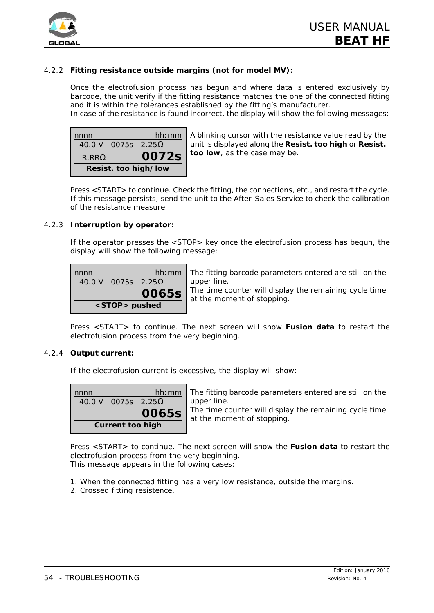

# 4.2.2 **Fitting resistance outside margins (not for model MV):**

Once the electrofusion process has begun and where data is entered exclusively by barcode, the unit verify if the fitting resistance matches the one of the connected fitting and it is within the tolerances established by the fitting's manufacturer.

In case of the resistance is found incorrect, the display will show the following messages:



A blinking cursor with the resistance value read by the unit is displayed along the **Resist. too high** or **Resist. too low**, as the case may be.

Press <START> to continue. Check the fitting, the connections, etc., and restart the cycle. If this message persists, send the unit to the After-Sales Service to check the calibration of the resistance measure.

#### 4.2.3 **Interruption by operator:**

If the operator presses the <STOP> key once the electrofusion process has begun, the display will show the following message:

| nnnn |                           | hh:mm |
|------|---------------------------|-------|
|      | 40.0 V 0075s $2.25\Omega$ |       |
|      |                           | 0065s |
|      | <stop> pushed</stop>      |       |

The fitting barcode parameters entered are still on the upper line.

The time counter will display the remaining cycle time at the moment of stopping.

Press <START> to continue. The next screen will show **Fusion data** to restart the electrofusion process from the very beginning.

#### 4.2.4 **Output current:**

If the electrofusion current is excessive, the display will show:

| nnnn |                           | hh:mm |
|------|---------------------------|-------|
|      | 40.0 V 0075s $2.25\Omega$ |       |
|      |                           | 0065s |
|      | <b>Current too high</b>   |       |

The fitting barcode parameters entered are still on the upper line.

The time counter will display the remaining cycle time at the moment of stopping.

Press <START> to continue. The next screen will show the **Fusion data** to restart the electrofusion process from the very beginning. This message appears in the following cases:

1. When the connected fitting has a very low resistance, outside the margins.

2. Crossed fitting resistence.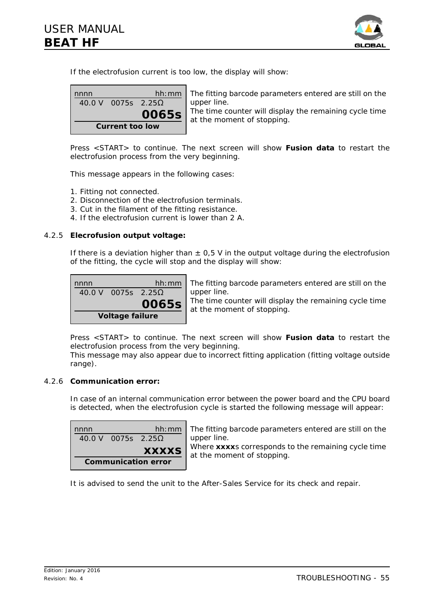

If the electrofusion current is too low, the display will show:



The fitting barcode parameters entered are still on the upper line. The time counter will display the remaining cycle time

at the moment of stopping.

Press <START> to continue. The next screen will show **Fusion data** to restart the electrofusion process from the very beginning.

This message appears in the following cases:

- 1. Fitting not connected.
- 2. Disconnection of the electrofusion terminals.
- 3. Cut in the filament of the fitting resistance.
- 4. If the electrofusion current is lower than 2 A.

#### 4.2.5 **Elecrofusion output voltage:**

If there is a deviation higher than  $\pm$  0,5 V in the output voltage during the electrofusion of the fitting, the cycle will stop and the display will show:



The fitting barcode parameters entered are still on the upper line.

The time counter will display the remaining cycle time at the moment of stopping.

Press <START> to continue. The next screen will show **Fusion data** to restart the electrofusion process from the very beginning.

This message may also appear due to incorrect fitting application (fitting voltage outside range).

#### 4.2.6 **Communication error:**

In case of an internal communication error between the power board and the CPU board is detected, when the electrofusion cycle is started the following message will appear:

| nnnn |                    | hh:mm        |
|------|--------------------|--------------|
|      | 40.0 V 0075s 2.25O |              |
|      |                    |              |
|      |                    | <b>XXXXS</b> |

The fitting barcode parameters entered are still on the upper line.

Where **xxxx**s corresponds to the remaining cycle time at the moment of stopping.

It is advised to send the unit to the After-Sales Service for its check and repair.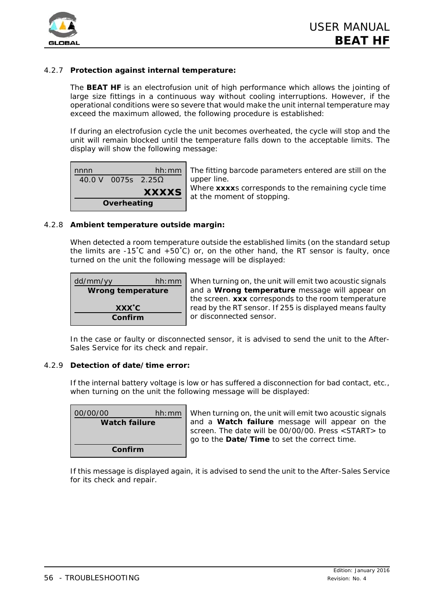



### 4.2.7 **Protection against internal temperature:**

The **BEAT HF** is an electrofusion unit of high performance which allows the jointing of large size fittings in a continuous way without cooling interruptions. However, if the operational conditions were so severe that would make the unit internal temperature may exceed the maximum allowed, the following procedure is established:

If during an electrofusion cycle the unit becomes overheated, the cycle will stop and the unit will remain blocked until the temperature falls down to the acceptable limits. The display will show the following message:

| nnnn |                    | hh:mm        |
|------|--------------------|--------------|
|      | 40.0 V 0075s 2.25O |              |
|      |                    |              |
|      |                    | <b>XXXXS</b> |

The fitting barcode parameters entered are still on the upper line.

Where **xxxx**s corresponds to the remaining cycle time at the moment of stopping.

#### 4.2.8 **Ambient temperature outside margin:**

When detected a room temperature outside the established limits (on the standard setup the limits are -15<sup>°</sup>C and +50<sup>°</sup>C) or, on the other hand, the RT sensor is faulty, once turned on the unit the following message will be displayed:

| dd/mm/yy                 | hh: mm |
|--------------------------|--------|
| <b>Wrong temperature</b> |        |
| XXX°C                    |        |
| Confirm                  |        |

When turning on, the unit will emit two acoustic signals and a **Wrong temperature** message will appear on the screen. **xxx** corresponds to the room temperature read by the RT sensor. If 255 is displayed means faulty or disconnected sensor.

In the case or faulty or disconnected sensor, it is advised to send the unit to the After-Sales Service for its check and repair.

#### 4.2.9 **Detection of date/time error:**

If the internal battery voltage is low or has suffered a disconnection for bad contact, etc., when turning on the unit the following message will be displayed:

| 00/00/00             | hh:mm |  |
|----------------------|-------|--|
| <b>Watch failure</b> |       |  |
|                      |       |  |
| Confirm              |       |  |

When turning on, the unit will emit two acoustic signals and a **Watch failure** message will appear on the screen. The date will be 00/00/00. Press <START> to go to the **Date/Time** to set the correct time.

If this message is displayed again, it is advised to send the unit to the After-Sales Service for its check and repair.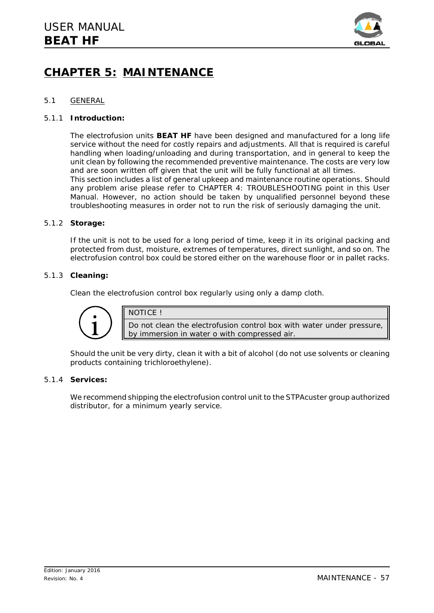

# **CHAPTER 5: MAINTENANCE**

### 5.1 GENERAL

#### 5.1.1 **Introduction:**

The electrofusion units **BEAT HF** have been designed and manufactured for a long life service without the need for costly repairs and adjustments. All that is required is careful handling when loading/unloading and during transportation, and in general to keep the unit clean by following the recommended preventive maintenance. The costs are very low and are soon written off given that the unit will be fully functional at all times. This section includes a list of general upkeep and maintenance routine operations. Should any problem arise please refer to CHAPTER 4: TROUBLESHOOTING point in this *User Manual*. However, no action should be taken by unqualified personnel beyond these troubleshooting measures in order not to run the risk of seriously damaging the unit.

### 5.1.2 **Storage:**

If the unit is not to be used for a long period of time, keep it in its original packing and protected from dust, moisture, extremes of temperatures, direct sunlight, and so on. The electrofusion control box could be stored either on the warehouse floor or in pallet racks.

### 5.1.3 **Cleaning:**

Clean the electrofusion control box regularly using only a damp cloth.



NOTICE !

Do not clean the electrofusion control box with water under pressure, by immersion in water o with compressed air.

Should the unit be very dirty, clean it with a bit of alcohol (do not use solvents or cleaning products containing trichloroethylene).

### 5.1.4 **Services:**

We recommend shipping the electrofusion control unit to the STPAcuster group authorized distributor, for a minimum yearly service.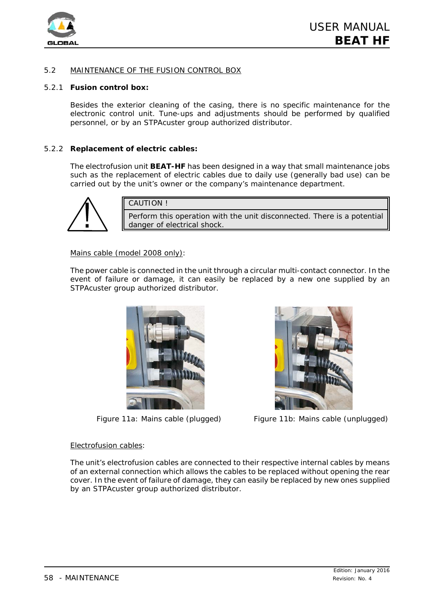

# 5.2 MAINTENANCE OF THE FUSION CONTROL BOX

#### 5.2.1 **Fusion control box:**

Besides the exterior cleaning of the casing, there is no specific maintenance for the electronic control unit. Tune-ups and adjustments should be performed by qualified personnel, or by an STPAcuster group authorized distributor.

### 5.2.2 **Replacement of electric cables:**

The electrofusion unit **BEAT-HF** has been designed in a way that small maintenance jobs such as the replacement of electric cables due to daily use (generally bad use) can be carried out by the unit's owner or the company's maintenance department.



CAUTION !

Perform this operation with the unit disconnected. There is a potential danger of electrical shock.

#### Mains cable (model 2008 only):

The power cable is connected in the unit through a circular multi-contact connector. In the event of failure or damage, it can easily be replaced by a new one supplied by an STPAcuster group authorized distributor.





*Figure 11a: Mains cable (plugged) Figure 11b: Mains cable (unplugged)*

#### Electrofusion cables:

The unit's electrofusion cables are connected to their respective internal cables by means of an external connection which allows the cables to be replaced without opening the rear cover. In the event of failure of damage, they can easily be replaced by new ones supplied by an STPAcuster group authorized distributor.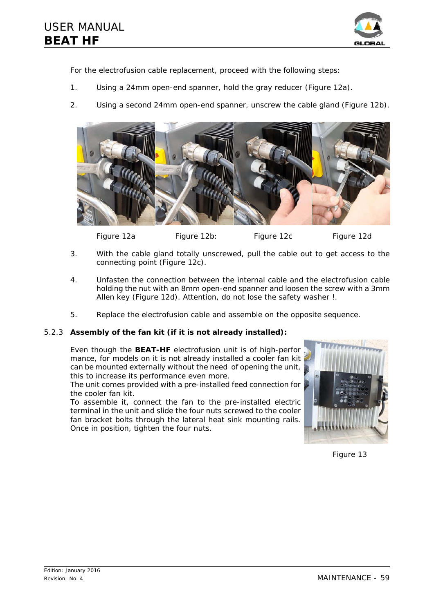

For the electrofusion cable replacement, proceed with the following steps:

- 1. Using a 24mm open-end spanner, hold the gray reducer (*Figure 12a*).
- 2. Using a second 24mm open-end spanner, unscrew the cable gland (*Figure 12b*).



*Figure 12a Figure 12b: Figure 12c Figure 12d*

- 3. With the cable gland totally unscrewed, pull the cable out to get access to the connecting point (*Figure 12c*).
- 4. Unfasten the connection between the internal cable and the electrofusion cable holding the nut with an 8mm open-end spanner and loosen the screw with a 3mm Allen key (*Figure 12d*). *Attention, do not lose the safety washer !*.
- 5. Replace the electrofusion cable and assemble on the opposite sequence.

# 5.2.3 **Assembly of the fan kit (if it is not already installed):**

Even though the **BEAT-HF** electrofusion unit is of high-perfor mance, for models on it is not already installed a cooler fan kit can be mounted externally without the need of opening the unit, this to increase its performance even more.

The unit comes provided with a pre-installed feed connection for the cooler fan kit.

To assemble it, connect the fan to the pre-installed electric terminal in the unit and slide the four nuts screwed to the cooler fan bracket bolts through the lateral heat sink mounting rails. Once in position, tighten the four nuts.



*Figure 13*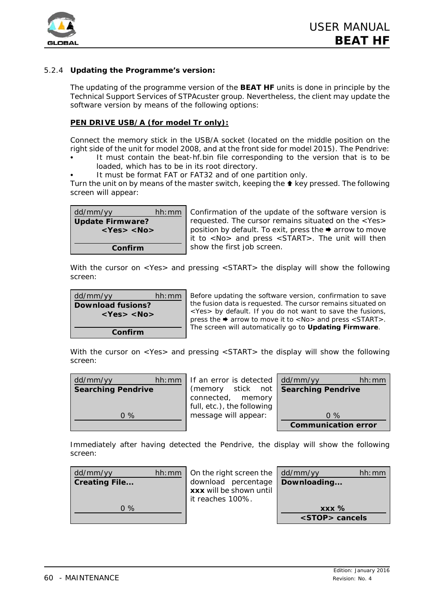

# 5.2.4 **Updating the Programme's version:**

The updating of the programme version of the **BEAT HF** units is done in principle by the Technical Support Services of STPAcuster group. Nevertheless, the client may update the software version by means of the following options:

# **PEN DRIVE USB/A (for model Tr only):**

Connect the memory stick in the USB/A socket (located on the middle position on the right side of the unit for model 2008, and at the front side for model 2015). The Pendrive:

- C It must contain the *beat-hf.bin* file corresponding to the version that is to be loaded, which has to be in its root directory.
- It must be format FAT or FAT32 and of one partition only.

Turn the unit on by means of the master switch, keeping the  $\triangle$  key pressed. The following screen will appear:

| dd/mm/yy                | hh:mm |
|-------------------------|-------|
| <b>Update Firmware?</b> |       |
| $<$ Yes> $<$ No>        |       |
|                         |       |
| Confirm                 |       |

Confirmation of the update of the software version is requested. The cursor remains situated on the <Yes> position by default. To exit, press the  $\rightarrow$  arrow to move it to <No> and press <START>. The unit will then show the first job screen.

With the cursor on <Yes> and pressing <START> the display will show the following screen:

| dd/mm/yy                 | hh:mm |  |
|--------------------------|-------|--|
| <b>Download fusions?</b> |       |  |
| <yes> <no></no></yes>    |       |  |
|                          |       |  |
| Confirm                  |       |  |

Before updating the software version, confirmation to save the fusion data is requested. The cursor remains situated on <Yes> by default. If you do not want to save the fusions, press the  $\rightarrow$  arrow to move it to <No> and press <START>. The screen will automatically go to **Updating Firmware**.

With the cursor on <Yes> and pressing <START> the display will show the following screen:

| dd/mm/yy<br>hh:mm         | If an error is detected dd/mm/yy     | hh:mm                      |
|---------------------------|--------------------------------------|----------------------------|
| <b>Searching Pendrive</b> | (memory stick not Searching Pendrive |                            |
|                           | connected, memory                    |                            |
|                           | full, etc.), the following           |                            |
| $0\%$                     | message will appear:                 | $0\%$                      |
|                           |                                      | <b>Communication error</b> |

Immediately after having detected the Pendrive, the display will show the following screen:

| dd/mm/yy             | hh: mm $\vert$ On the right screen the $\vert$ dd/mm/yy |                                                             | hh:mm |
|----------------------|---------------------------------------------------------|-------------------------------------------------------------|-------|
| <b>Creating File</b> | download percentage   Downloading                       |                                                             |       |
|                      | xxx will be shown until                                 |                                                             |       |
|                      | it reaches 100%.                                        |                                                             |       |
| $0\%$                |                                                         | $\overline{X}$ $\overline{X}$ $\overline{X}$ $\overline{Y}$ |       |
|                      |                                                         | <stop> cancels</stop>                                       |       |
|                      |                                                         |                                                             |       |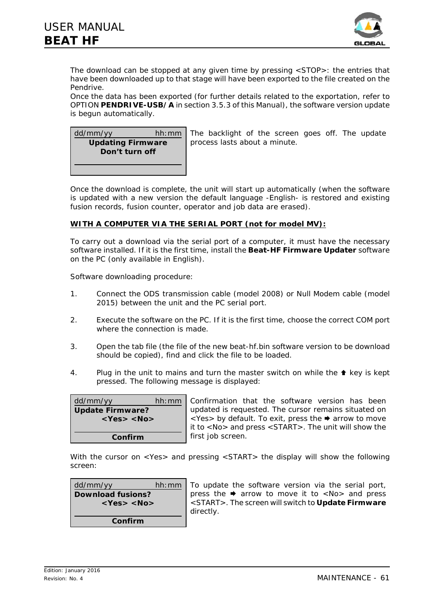

The download can be stopped at any given time by pressing <STOP>: the entries that have been downloaded up to that stage will have been exported to the file created on the Pendrive.

Once the data has been exported (for further details related to the exportation, refer to OPTION **PENDRIVE-USB/A** in section 3.5.3 of this *Manual*), the software version update is begun automatically.



The backlight of the screen goes off. The update process lasts about a minute.

Once the download is complete, the unit will start up automatically (when the software is updated with a new version the default language -English- is restored and existing fusion records, fusion counter, operator and job data are erased).

# **WITH A COMPUTER VIA THE SERIAL PORT (not for model MV):**

To carry out a download via the serial port of a computer, it must have the necessary software installed. If it is the first time, install the **Beat-HF Firmware Updater** software on the PC (only available in English).

*Software downloading procedure:*

- 1. Connect the ODS transmission cable (model 2008) or Null Modem cable (model 2015) between the unit and the PC serial port.
- 2. Execute the software on the PC. If it is the first time, choose the correct COM port where the connection is made.
- 3. Open the tab *file* (the file of the new *beat-hf.bin* software version to be download should be copied), find and click the file to be loaded.
- 4. Plug in the unit to mains and turn the master switch on while the  $\triangle$  key is kept pressed. The following message is displayed:

| dd/mm/yy                | hh: mm   Confirma                                                                                      |
|-------------------------|--------------------------------------------------------------------------------------------------------|
| <b>Update Firmware?</b> | updated                                                                                                |
| $<$ Yes> $<$ No>        |                                                                                                        |
|                         | $\left  \begin{array}{c} 1 & \text{if } 1 \\ 0 & \text{if } 1 \\ 0 & \text{if } 1 \end{array} \right $ |
| Confirm                 | first job:                                                                                             |

ation that the software version has been is requested. The cursor remains situated on  $\mathsf{y}$  default. To exit, press the  $\blacktriangleright$  arrow to move  $\infty$  and press <START>. The unit will show the screen

With the cursor on <Yes> and pressing <START> the display will show the following screen:

| dd/mm/yy                 | hh:mm |  |
|--------------------------|-------|--|
| <b>Download fusions?</b> |       |  |
| $<$ Yes> $<$ No>         |       |  |
|                          |       |  |
| Confirm                  |       |  |

To update the software version via the serial port, press the  $\rightarrow$  arrow to move it to <No> and press <START>. The screen will switch to **Update Firmware** directly.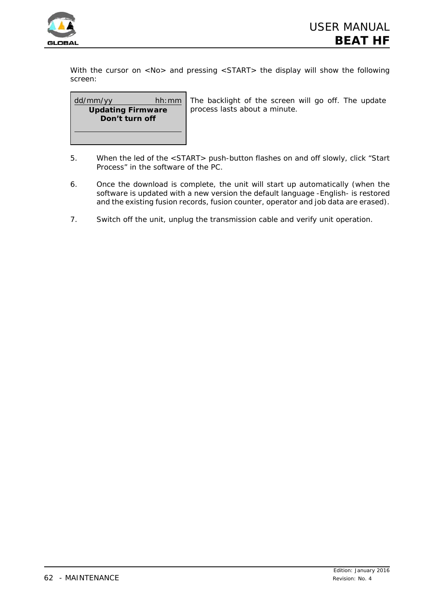

With the cursor on <No> and pressing <START> the display will show the following screen:

| dd/mm/yy                 | hh:mm |
|--------------------------|-------|
| <b>Updating Firmware</b> |       |
| Don't turn off           |       |
|                          |       |
|                          |       |

The backlight of the screen will go off. The update process lasts about a minute.

- 5. When the led of the <START> push-button flashes on and off slowly, click "Start Process" in the software of the PC.
- 6. Once the download is complete, the unit will start up automatically (when the software is updated with a new version the default language -English- is restored and the existing fusion records, fusion counter, operator and job data are erased).
- 7. Switch off the unit, unplug the transmission cable and verify unit operation.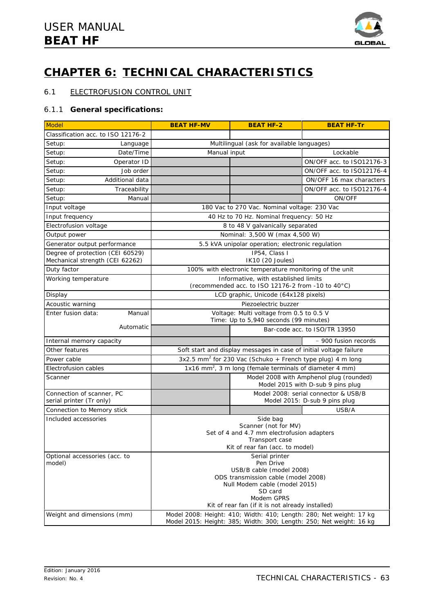

# **CHAPTER 6: TECHNICAL CHARACTERISTICS**

# 6.1 ELECTROFUSION CONTROL UNIT

# 6.1.1 **General specifications:**

| <b>Model</b>                                                        | <b>BEAT HF-MV</b>                                                                                                                          | <b>BEAT HF-2</b>                                                                           | <b>BEAT HF-Tr</b>             |
|---------------------------------------------------------------------|--------------------------------------------------------------------------------------------------------------------------------------------|--------------------------------------------------------------------------------------------|-------------------------------|
| Classification acc. to ISO 12176-2                                  |                                                                                                                                            |                                                                                            |                               |
| Setup:<br>Language                                                  | Multilingual (ask for available languages)                                                                                                 |                                                                                            |                               |
| Setup:<br>Date/Time                                                 | Manual input<br>Lockable                                                                                                                   |                                                                                            |                               |
| Setup:<br>Operator ID                                               |                                                                                                                                            |                                                                                            | ON/OFF acc. to ISO12176-3     |
| Job order<br>Setup:                                                 |                                                                                                                                            |                                                                                            | ON/OFF acc. to ISO12176-4     |
| Setup:<br>Additional data                                           |                                                                                                                                            |                                                                                            | ON/OFF 16 max characters      |
| Setup:<br>Traceability                                              |                                                                                                                                            |                                                                                            | ON/OFF acc. to ISO12176-4     |
| Setup:<br>Manual                                                    |                                                                                                                                            |                                                                                            | ON/OFF                        |
| Input voltage                                                       |                                                                                                                                            | 180 Vac to 270 Vac. Nominal voltage: 230 Vac                                               |                               |
| Input frequency                                                     |                                                                                                                                            | 40 Hz to 70 Hz. Nominal frequency: 50 Hz                                                   |                               |
| Electrofusion voltage                                               |                                                                                                                                            | 8 to 48 V galvanically separated                                                           |                               |
| Output power                                                        |                                                                                                                                            | Nominal: 3,500 W (max 4,500 W)                                                             |                               |
| Generator output performance                                        |                                                                                                                                            | 5.5 kVA unipolar operation; electronic regulation                                          |                               |
| Degree of protection (CEI 60529)<br>Mechanical strength (CEI 62262) |                                                                                                                                            | IP54, Class I<br>IK10 (20 Joules)                                                          |                               |
| Duty factor                                                         |                                                                                                                                            | 100% with electronic temperature monitoring of the unit                                    |                               |
| Working temperature                                                 |                                                                                                                                            | Informative, with established limits<br>(recommended acc. to ISO 12176-2 from -10 to 40°C) |                               |
| Display                                                             |                                                                                                                                            | LCD graphic, Unicode (64x128 pixels)                                                       |                               |
| Acoustic warning                                                    |                                                                                                                                            | Piezoelectric buzzer                                                                       |                               |
| Enter fusion data:<br>Manual                                        |                                                                                                                                            | Voltage: Multi voltage from 0.5 to 0.5 V                                                   |                               |
| Automatic                                                           | Time: Up to 5,940 seconds (99 minutes)                                                                                                     |                                                                                            |                               |
|                                                                     |                                                                                                                                            |                                                                                            | Bar-code acc. to ISO/TR 13950 |
| Internal memory capacity                                            |                                                                                                                                            |                                                                                            | ~ 900 fusion records          |
| Other features                                                      |                                                                                                                                            | Soft start and display messages in case of initial voltage failure                         |                               |
| Power cable                                                         |                                                                                                                                            | 3x2.5 mm <sup>2</sup> for 230 Vac (Schuko + French type plug) 4 m long                     |                               |
| Electrofusion cables                                                | 1x16 mm <sup>2</sup> , 3 m long (female terminals of diameter 4 mm)                                                                        |                                                                                            |                               |
| Scanner                                                             | Model 2008 with Amphenol plug (rounded)<br>Model 2015 with D-sub 9 pins plug                                                               |                                                                                            |                               |
| Connection of scanner, PC                                           |                                                                                                                                            | Model 2008: serial connector & USB/B                                                       |                               |
| serial printer (Tr only)                                            |                                                                                                                                            |                                                                                            | Model 2015: D-sub 9 pins plug |
| Connection to Memory stick                                          |                                                                                                                                            |                                                                                            | USB/A                         |
| Included accessories                                                |                                                                                                                                            | Side bag<br>Scanner (not for MV)                                                           |                               |
|                                                                     |                                                                                                                                            | Set of 4 and 4.7 mm electrofusion adapters                                                 |                               |
|                                                                     | Transport case                                                                                                                             |                                                                                            |                               |
|                                                                     |                                                                                                                                            | Kit of rear fan (acc. to model)                                                            |                               |
| Optional accessories (acc. to<br>model)                             | Serial printer<br>Pen Drive                                                                                                                |                                                                                            |                               |
|                                                                     |                                                                                                                                            | USB/B cable (model 2008)                                                                   |                               |
|                                                                     | ODS transmission cable (model 2008)                                                                                                        |                                                                                            |                               |
|                                                                     | Null Modem cable (model 2015)<br>SD card                                                                                                   |                                                                                            |                               |
| Modem GPRS<br>Kit of rear fan (if it is not already installed)      |                                                                                                                                            |                                                                                            |                               |
|                                                                     |                                                                                                                                            |                                                                                            |                               |
| Weight and dimensions (mm)                                          | Model 2008: Height: 410; Width: 410; Length: 280; Net weight: 17 kg<br>Model 2015: Height: 385; Width: 300; Length: 250; Net weight: 16 kg |                                                                                            |                               |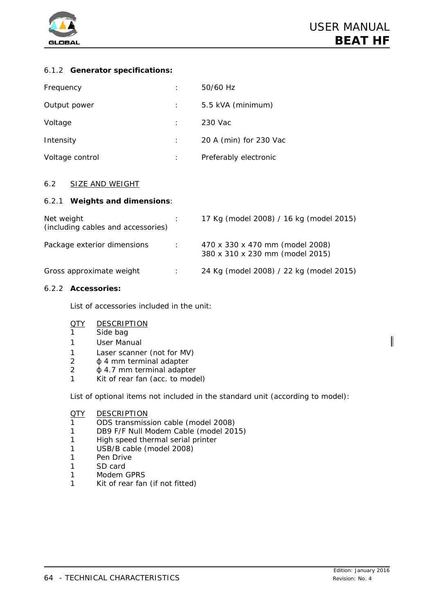

# 6.1.2 **Generator specifications:**

| Frequency       | ٠       | 50/60 Hz               |
|-----------------|---------|------------------------|
| Output power    |         | 5.5 kVA (minimum)      |
| Voltage         |         | 230 Vac                |
| Intensity       |         | 20 A (min) for 230 Vac |
| Voltage control | $\cdot$ | Preferably electronic  |

# 6.2 SIZE AND WEIGHT

### 6.2.1 **Weights and dimensions**:

| Net weight<br>(including cables and accessories) |               | 17 Kg (model 2008) / 16 kg (model 2015)                            |
|--------------------------------------------------|---------------|--------------------------------------------------------------------|
| Package exterior dimensions                      | $\mathcal{L}$ | 470 x 330 x 470 mm (model 2008)<br>380 x 310 x 230 mm (model 2015) |
| Gross approximate weight                         |               | 24 Kg (model 2008) / 22 kg (model 2015)                            |

### 6.2.2 **Accessories:**

List of accessories included in the unit:

### QTY DESCRIPTION

- 1 Side bag
- 1 User Manual
- 1 Laser scanner (not for MV)
- $2 \phi$  4 mm terminal adapter
- $2 \phi$  4.7 mm terminal adapter
- 1 Kit of rear fan (acc. to model)

List of optional items not included in the standard unit (according to model):

#### QTY DESCRIPTION

- 1 ODS transmission cable (model 2008)
- 1 DB9 F/F Null Modem Cable (model 2015)
- 1 High speed thermal serial printer
- 1 USB/B cable (model 2008)
- 1 Pen Drive
- 1 SD card
- 1 Modem GPRS
- 1 Kit of rear fan (if not fitted)